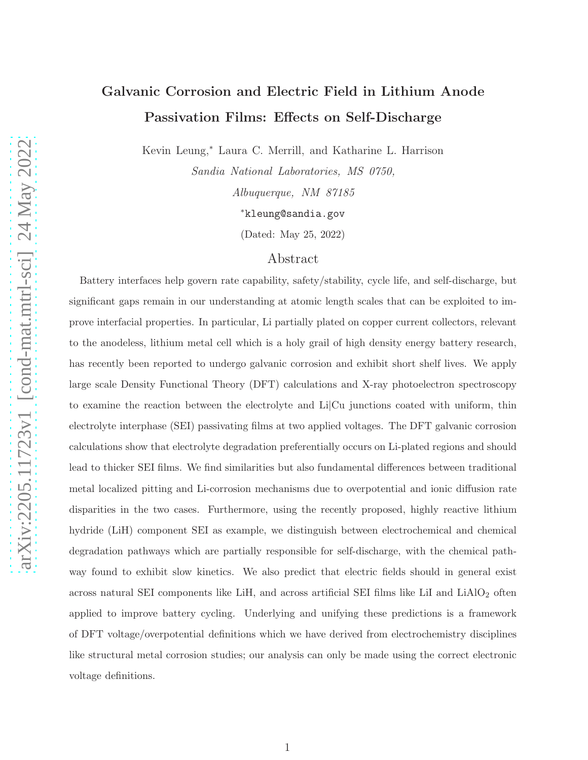# Galvanic Corrosion and Electric Field in Lithium Anode Passivation Films: Effects on Self-Discharge

Kevin Leung,<sup>∗</sup> Laura C. Merrill, and Katharine L. Harrison

Sandia National Laboratories, MS 0750, Albuquerque, NM 87185 <sup>∗</sup>kleung@sandia.gov

(Dated: May 25, 2022)

# Abstract

Battery interfaces help govern rate capability, safety/stability, cycle life, and self-discharge, but significant gaps remain in our understanding at atomic length scales that can be exploited to improve interfacial properties. In particular, Li partially plated on copper current collectors, relevant to the anodeless, lithium metal cell which is a holy grail of high density energy battery research, has recently been reported to undergo galvanic corrosion and exhibit short shelf lives. We apply large scale Density Functional Theory (DFT) calculations and X-ray photoelectron spectroscopy to examine the reaction between the electrolyte and Li|Cu junctions coated with uniform, thin electrolyte interphase (SEI) passivating films at two applied voltages. The DFT galvanic corrosion calculations show that electrolyte degradation preferentially occurs on Li-plated regions and should lead to thicker SEI films. We find similarities but also fundamental differences between traditional metal localized pitting and Li-corrosion mechanisms due to overpotential and ionic diffusion rate disparities in the two cases. Furthermore, using the recently proposed, highly reactive lithium hydride (LiH) component SEI as example, we distinguish between electrochemical and chemical degradation pathways which are partially responsible for self-discharge, with the chemical pathway found to exhibit slow kinetics. We also predict that electric fields should in general exist across natural SEI components like LiH, and across artificial SEI films like LiI and LiAlO<sub>2</sub> often applied to improve battery cycling. Underlying and unifying these predictions is a framework of DFT voltage/overpotential definitions which we have derived from electrochemistry disciplines like structural metal corrosion studies; our analysis can only be made using the correct electronic voltage definitions.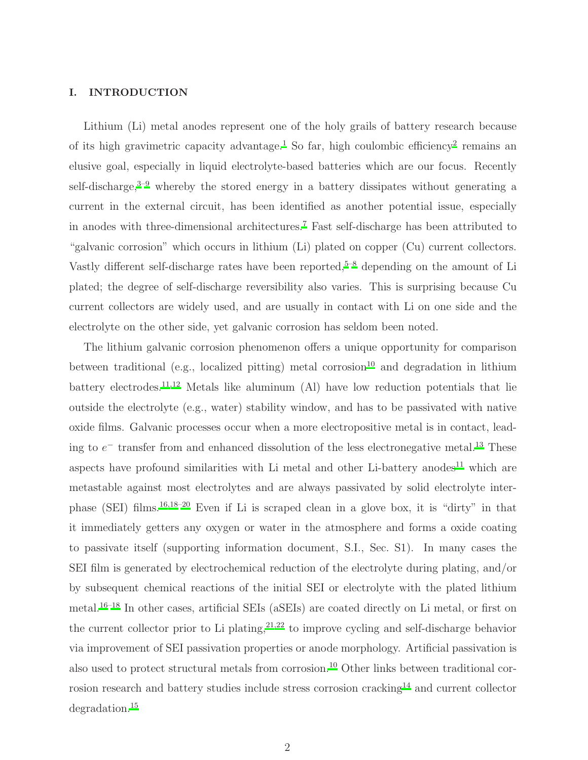# I. INTRODUCTION

Lithium (Li) metal anodes represent one of the holy grails of battery research because of its high gravimetric capacity advantage.<sup>[1](#page-30-0)</sup> So far, high coulombic efficiency<sup>[2](#page-30-1)</sup> remains an elusive goal, especially in liquid electrolyte-based batteries which are our focus. Recently self-discharge, $3-9$  $3-9$  whereby the stored energy in a battery dissipates without generating a current in the external circuit, has been identified as another potential issue, especially in anodes with three-dimensional architectures.[7](#page-31-1) Fast self-discharge has been attributed to "galvanic corrosion" which occurs in lithium (Li) plated on copper (Cu) current collectors. Vastly different self-discharge rates have been reported,<sup>[5](#page-30-3)-8</sup> depending on the amount of Li plated; the degree of self-discharge reversibility also varies. This is surprising because Cu current collectors are widely used, and are usually in contact with Li on one side and the electrolyte on the other side, yet galvanic corrosion has seldom been noted.

The lithium galvanic corrosion phenomenon offers a unique opportunity for comparison between traditional (e.g., localized pitting) metal corrosion<sup>[10](#page-31-3)</sup> and degradation in lithium battery electrodes.<sup>[11](#page-31-4)[,12](#page-31-5)</sup> Metals like aluminum (Al) have low reduction potentials that lie outside the electrolyte (e.g., water) stability window, and has to be passivated with native oxide films. Galvanic processes occur when a more electropositive metal is in contact, leading to  $e^-$  transfer from and enhanced dissolution of the less electronegative metal.<sup>[13](#page-31-6)</sup> These aspects have profound similarities with Li metal and other Li-battery anodes<sup>[11](#page-31-4)</sup> which are metastable against most electrolytes and are always passivated by solid electrolyte inter-phase (SEI) films.<sup>[16](#page-31-7)[,18](#page-32-0)[–20](#page-32-1)</sup> Even if Li is scraped clean in a glove box, it is "dirty" in that it immediately getters any oxygen or water in the atmosphere and forms a oxide coating to passivate itself (supporting information document, S.I., Sec. S1). In many cases the SEI film is generated by electrochemical reduction of the electrolyte during plating, and/or by subsequent chemical reactions of the initial SEI or electrolyte with the plated lithium metal.[16](#page-31-7)[–18](#page-32-0) In other cases, artificial SEIs (aSEIs) are coated directly on Li metal, or first on the current collector prior to Li plating,  $2^{1,22}$  $2^{1,22}$  $2^{1,22}$  to improve cycling and self-discharge behavior via improvement of SEI passivation properties or anode morphology. Artificial passivation is also used to protect structural metals from corrosion.<sup>[10](#page-31-3)</sup> Other links between traditional cor-rosion research and battery studies include stress corrosion cracking<sup>[14](#page-31-8)</sup> and current collector degradation.[15](#page-31-9)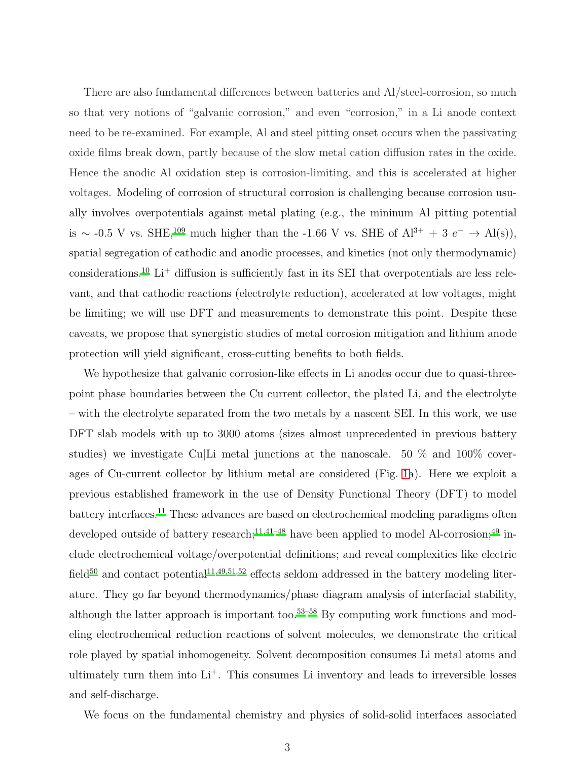There are also fundamental differences between batteries and Al/steel-corrosion, so much so that very notions of "galvanic corrosion," and even "corrosion," in a Li anode context need to be re-examined. For example, Al and steel pitting onset occurs when the passivating oxide films break down, partly because of the slow metal cation diffusion rates in the oxide. Hence the anodic Al oxidation step is corrosion-limiting, and this is accelerated at higher voltages. Modeling of corrosion of structural corrosion is challenging because corrosion usually involves overpotentials against metal plating (e.g., the mininum Al pitting potential is ~ -0.5 V vs. SHE,<sup>[109](#page-40-0)</sup> much higher than the -1.66 V vs. SHE of  $Al^{3+} + 3 e^- \rightarrow Al(s)$ , spatial segregation of cathodic and anodic processes, and kinetics (not only thermodynamic) considerations.<sup>[10](#page-31-3)</sup> Li<sup>+</sup> diffusion is sufficiently fast in its SEI that overpotentials are less relevant, and that cathodic reactions (electrolyte reduction), accelerated at low voltages, might be limiting; we will use DFT and measurements to demonstrate this point. Despite these caveats, we propose that synergistic studies of metal corrosion mitigation and lithium anode protection will yield significant, cross-cutting benefits to both fields.

We hypothesize that galvanic corrosion-like effects in Li anodes occur due to quasi-threepoint phase boundaries between the Cu current collector, the plated Li, and the electrolyte – with the electrolyte separated from the two metals by a nascent SEI. In this work, we use DFT slab models with up to 3000 atoms (sizes almost unprecedented in previous battery studies) we investigate Cu|Li metal junctions at the nanoscale. 50 % and 100% coverages of Cu-current collector by lithium metal are considered (Fig. [1a](#page-4-0)). Here we exploit a previous established framework in the use of Density Functional Theory (DFT) to model battery interfaces.[11](#page-31-4) These advances are based on electrochemical modeling paradigms often developed outside of battery research;<sup>[11](#page-31-4)[,41](#page-34-0)[–48](#page-34-1)</sup> have been applied to model Al-corrosion;<sup>[49](#page-34-2)</sup> include electrochemical voltage/overpotential definitions; and reveal complexities like electric field<sup>[50](#page-34-3)</sup> and contact potential<sup>[11](#page-31-4)[,49](#page-34-2)[,51](#page-35-0)[,52](#page-35-1)</sup> effects seldom addressed in the battery modeling literature. They go far beyond thermodynamics/phase diagram analysis of interfacial stability, although the latter approach is important too.<sup>[53](#page-35-2)[–58](#page-35-3)</sup> By computing work functions and modeling electrochemical reduction reactions of solvent molecules, we demonstrate the critical role played by spatial inhomogeneity. Solvent decomposition consumes Li metal atoms and ultimately turn them into Li<sup>+</sup>. This consumes Li inventory and leads to irreversible losses and self-discharge.

We focus on the fundamental chemistry and physics of solid-solid interfaces associated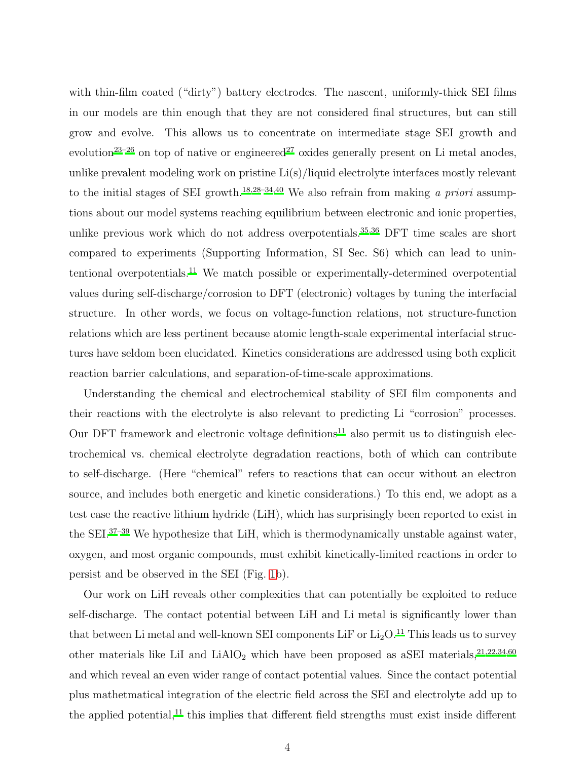with thin-film coated ("dirty") battery electrodes. The nascent, uniformly-thick SEI films in our models are thin enough that they are not considered final structures, but can still grow and evolve. This allows us to concentrate on intermediate stage SEI growth and evolution<sup>[23](#page-32-4)[–26](#page-32-5)</sup> on top of native or engineered<sup>[27](#page-32-6)</sup> oxides generally present on Li metal anodes, unlike prevalent modeling work on pristine Li(s)/liquid electrolyte interfaces mostly relevant to the initial stages of SEI growth.<sup>[18](#page-32-0)[,28](#page-33-0)[–34](#page-33-1)[,40](#page-34-4)</sup> We also refrain from making a priori assumptions about our model systems reaching equilibrium between electronic and ionic properties, unlike previous work which do not address overpotentials.<sup>[35](#page-33-2)[,36](#page-33-3)</sup> DFT time scales are short compared to experiments (Supporting Information, SI Sec. S6) which can lead to unintentional overpotentials.[11](#page-31-4) We match possible or experimentally-determined overpotential values during self-discharge/corrosion to DFT (electronic) voltages by tuning the interfacial structure. In other words, we focus on voltage-function relations, not structure-function relations which are less pertinent because atomic length-scale experimental interfacial structures have seldom been elucidated. Kinetics considerations are addressed using both explicit reaction barrier calculations, and separation-of-time-scale approximations.

Understanding the chemical and electrochemical stability of SEI film components and their reactions with the electrolyte is also relevant to predicting Li "corrosion" processes. Our DFT framework and electronic voltage definitions<sup>[11](#page-31-4)</sup> also permit us to distinguish electrochemical vs. chemical electrolyte degradation reactions, both of which can contribute to self-discharge. (Here "chemical" refers to reactions that can occur without an electron source, and includes both energetic and kinetic considerations.) To this end, we adopt as a test case the reactive lithium hydride (LiH), which has surprisingly been reported to exist in the SEI.[37](#page-33-4)[–39](#page-34-5) We hypothesize that LiH, which is thermodynamically unstable against water, oxygen, and most organic compounds, must exhibit kinetically-limited reactions in order to persist and be observed in the SEI (Fig. [1b](#page-4-0)).

Our work on LiH reveals other complexities that can potentially be exploited to reduce self-discharge. The contact potential between LiH and Li metal is significantly lower than that between Li metal and well-known SEI components LiF or  $Li<sub>2</sub>O<sup>11</sup>$  $Li<sub>2</sub>O<sup>11</sup>$  $Li<sub>2</sub>O<sup>11</sup>$ . This leads us to survey other materials like LiI and  $LiAlO<sub>2</sub>$  which have been proposed as aSEI materials,<sup>[21](#page-32-2)[,22](#page-32-3)[,34](#page-33-1)[,60](#page-35-4)</sup> and which reveal an even wider range of contact potential values. Since the contact potential plus mathetmatical integration of the electric field across the SEI and electrolyte add up to the applied potential, $^{11}$  $^{11}$  $^{11}$  this implies that different field strengths must exist inside different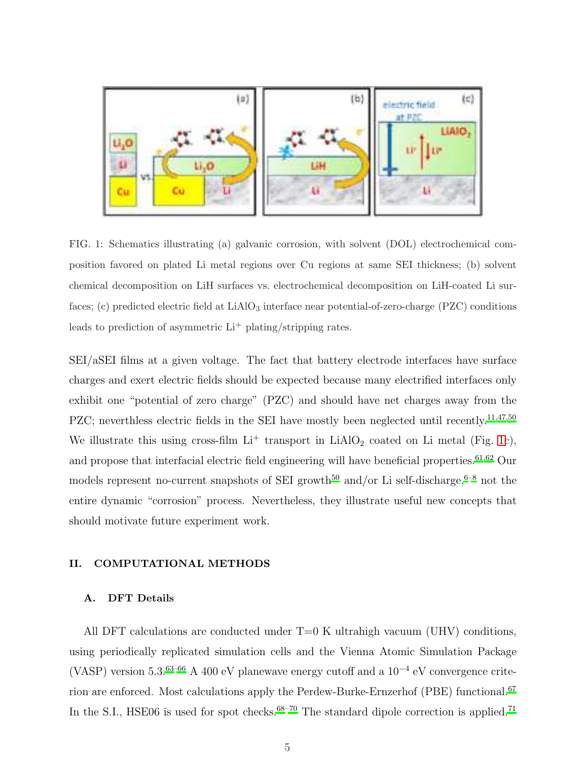

<span id="page-4-0"></span>FIG. 1: Schematics illustrating (a) galvanic corrosion, with solvent (DOL) electrochemical composition favored on plated Li metal regions over Cu regions at same SEI thickness; (b) solvent chemical decomposition on LiH surfaces vs. electrochemical decomposition on LiH-coated Li surfaces; (c) predicted electric field at LiAlO<sub>3</sub> interface near potential-of-zero-charge (PZC) conditions leads to prediction of asymmetric  $Li^+$  plating/stripping rates.

SEI/aSEI films at a given voltage. The fact that battery electrode interfaces have surface charges and exert electric fields should be expected because many electrified interfaces only exhibit one "potential of zero charge" (PZC) and should have net charges away from the PZC; neverthless electric fields in the SEI have mostly been neglected until recently.<sup>[11](#page-31-4)[,47](#page-34-6)[,50](#page-34-3)</sup> We illustrate this using cross-film  $Li^+$  transport in  $LiAlO_2$  coated on Li metal (Fig. [1c](#page-4-0)), and propose that interfacial electric field engineering will have beneficial properties.<sup>[61](#page-35-5)[,62](#page-36-0)</sup> Our models represent no-current snapshots of SEI growth<sup>[50](#page-34-3)</sup> and/or Li self-discharge,<sup>[6](#page-31-10)[–8](#page-31-2)</sup> not the entire dynamic "corrosion" process. Nevertheless, they illustrate useful new concepts that should motivate future experiment work.

#### II. COMPUTATIONAL METHODS

### A. DFT Details

All DFT calculations are conducted under  $T=0$  K ultrahigh vacuum (UHV) conditions, using periodically replicated simulation cells and the Vienna Atomic Simulation Package (VASP) version 5.3.<sup>[63](#page-36-1)[–66](#page-36-2)</sup> A 400 eV planewave energy cutoff and a  $10^{-4}$  eV convergence crite-rion are enforced. Most calculations apply the Perdew-Burke-Ernzerhof (PBE) functional.<sup>[67](#page-36-3)</sup> In the S.I., HSE06 is used for spot checks. $68-70$  $68-70$  The standard dipole correction is applied.<sup>[71](#page-36-6)</sup>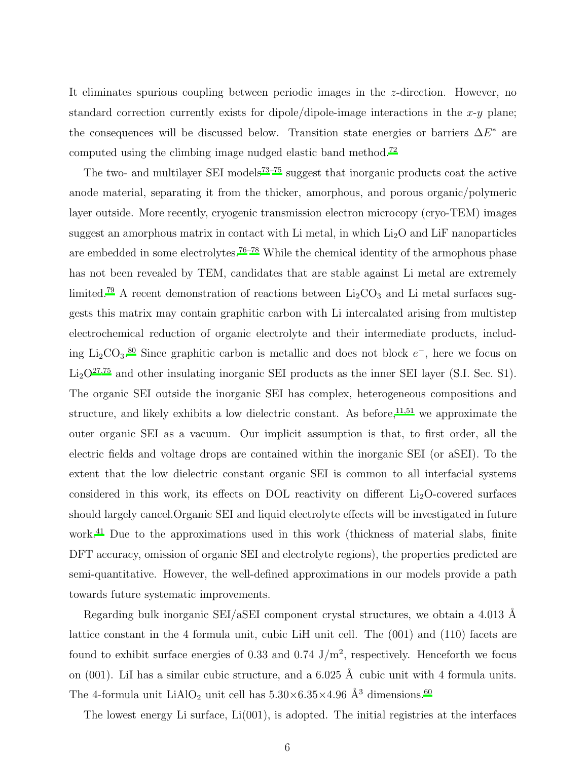It eliminates spurious coupling between periodic images in the z-direction. However, no standard correction currently exists for dipole/dipole-image interactions in the  $x-y$  plane; the consequences will be discussed below. Transition state energies or barriers  $\Delta E^*$  are computed using the climbing image nudged elastic band method.[72](#page-36-7)

The two- and multilayer SEI models<sup>[73](#page-36-8)[–75](#page-37-0)</sup> suggest that inorganic products coat the active anode material, separating it from the thicker, amorphous, and porous organic/polymeric layer outside. More recently, cryogenic transmission electron microcopy (cryo-TEM) images suggest an amorphous matrix in contact with Li metal, in which  $Li<sub>2</sub>O$  and LiF nanoparticles are embedded in some electrolytes.<sup>[76](#page-37-1)[–78](#page-37-2)</sup> While the chemical identity of the armophous phase has not been revealed by TEM, candidates that are stable against Li metal are extremely limited.<sup>[79](#page-37-3)</sup> A recent demonstration of reactions between  $\rm Li_2CO_3$  and  $\rm Li$  metal surfaces suggests this matrix may contain graphitic carbon with Li intercalated arising from multistep electrochemical reduction of organic electrolyte and their intermediate products, includ-ing Li<sub>2</sub>CO<sub>3</sub>.<sup>[80](#page-37-4)</sup> Since graphitic carbon is metallic and does not block  $e^-$ , here we focus on  $Li<sub>2</sub>O<sup>27,75</sup>$  $Li<sub>2</sub>O<sup>27,75</sup>$  $Li<sub>2</sub>O<sup>27,75</sup>$  $Li<sub>2</sub>O<sup>27,75</sup>$  and other insulating inorganic SEI products as the inner SEI layer (S.I. Sec. S1). The organic SEI outside the inorganic SEI has complex, heterogeneous compositions and structure, and likely exhibits a low dielectric constant. As before,  $11,51$  $11,51$  we approximate the outer organic SEI as a vacuum. Our implicit assumption is that, to first order, all the electric fields and voltage drops are contained within the inorganic SEI (or aSEI). To the extent that the low dielectric constant organic SEI is common to all interfacial systems considered in this work, its effects on DOL reactivity on different  $Li<sub>2</sub>O$ -covered surfaces should largely cancel.Organic SEI and liquid electrolyte effects will be investigated in future work.<sup>[41](#page-34-0)</sup> Due to the approximations used in this work (thickness of material slabs, finite DFT accuracy, omission of organic SEI and electrolyte regions), the properties predicted are semi-quantitative. However, the well-defined approximations in our models provide a path towards future systematic improvements.

Regarding bulk inorganic SEI/aSEI component crystal structures, we obtain a  $4.013$  Å lattice constant in the 4 formula unit, cubic LiH unit cell. The (001) and (110) facets are found to exhibit surface energies of 0.33 and 0.74  $J/m<sup>2</sup>$ , respectively. Henceforth we focus on  $(001)$ . LiI has a similar cubic structure, and a 6.025 Å cubic unit with 4 formula units. The 4-formula unit  $\text{LiAlO}_2$  unit cell has  $5.30\!\times\!6.35\!\times\!4.96\text{ }\AA^3$  dimensions.  $^{60}$  $^{60}$  $^{60}$ 

The lowest energy Li surface,  $Li(001)$ , is adopted. The initial registries at the interfaces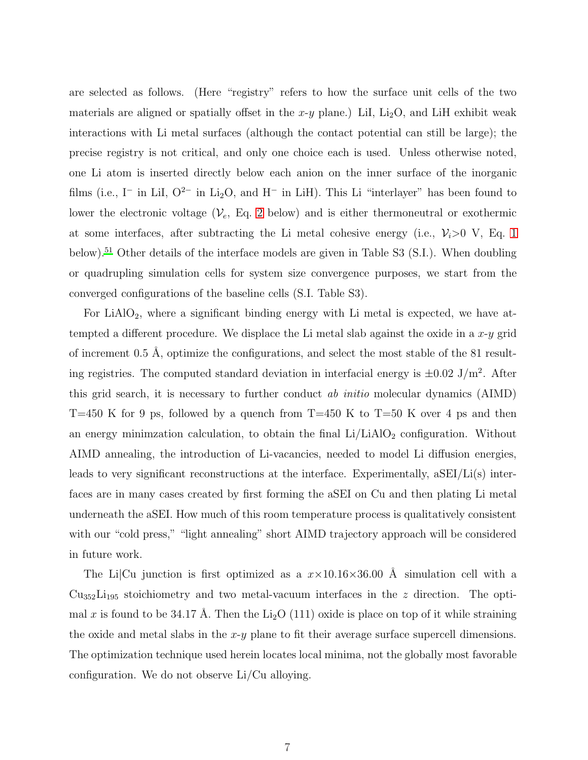are selected as follows. (Here "registry" refers to how the surface unit cells of the two materials are aligned or spatially offset in the  $x-y$  plane.) LiI, Li<sub>2</sub>O, and LiH exhibit weak interactions with Li metal surfaces (although the contact potential can still be large); the precise registry is not critical, and only one choice each is used. Unless otherwise noted, one Li atom is inserted directly below each anion on the inner surface of the inorganic films (i.e., I<sup>-</sup> in LiI,  $O^{2-}$  in Li<sub>2</sub>O, and H<sup>-</sup> in LiH). This Li "interlayer" has been found to lower the electronic voltage  $(\mathcal{V}_e, Eq. 2$  $(\mathcal{V}_e, Eq. 2$  below) and is either thermoneutral or exothermic at some interfaces, after subtracting the Li metal cohesive energy (i.e.,  $\mathcal{V}_i>0$  V, Eq. [1](#page-7-1) below).<sup>[51](#page-35-0)</sup> Other details of the interface models are given in Table S3 (S.I.). When doubling or quadrupling simulation cells for system size convergence purposes, we start from the converged configurations of the baseline cells (S.I. Table S3).

For LiAlO<sub>2</sub>, where a significant binding energy with Li metal is expected, we have attempted a different procedure. We displace the Li metal slab against the oxide in a  $x-y$  grid of increment  $0.5 \text{ Å}$ , optimize the configurations, and select the most stable of the 81 resulting registries. The computed standard deviation in interfacial energy is  $\pm 0.02$  J/m<sup>2</sup>. After this grid search, it is necessary to further conduct ab initio molecular dynamics (AIMD) T=450 K for 9 ps, followed by a quench from T=450 K to T=50 K over 4 ps and then an energy minimzation calculation, to obtain the final  $Li/LiAlO<sub>2</sub>$  configuration. Without AIMD annealing, the introduction of Li-vacancies, needed to model Li diffusion energies, leads to very significant reconstructions at the interface. Experimentally, aSEI/Li(s) interfaces are in many cases created by first forming the aSEI on Cu and then plating Li metal underneath the aSEI. How much of this room temperature process is qualitatively consistent with our "cold press," "light annealing" short AIMD trajectory approach will be considered in future work.

The Li|Cu junction is first optimized as a  $x \times 10.16 \times 36.00$  Å simulation cell with a  $Cu<sub>352</sub>Li<sub>195</sub>$  stoichiometry and two metal-vacuum interfaces in the z direction. The optimal x is found to be 34.17 Å. Then the  $Li_2O(111)$  oxide is place on top of it while straining the oxide and metal slabs in the  $x-y$  plane to fit their average surface supercell dimensions. The optimization technique used herein locates local minima, not the globally most favorable configuration. We do not observe Li/Cu alloying.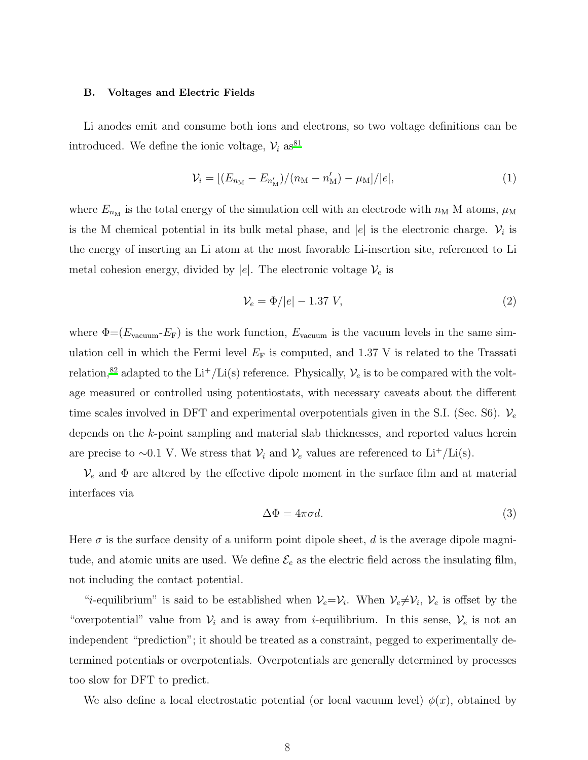#### B. Voltages and Electric Fields

Li anodes emit and consume both ions and electrons, so two voltage definitions can be introduced. We define the ionic voltage,  $V_i$  as<sup>[81](#page-37-5)</sup>

<span id="page-7-1"></span>
$$
\mathcal{V}_i = \left[ (E_{n_{\rm M}} - E_{n'_{\rm M}}) / (n_{\rm M} - n'_{\rm M}) - \mu_{\rm M} \right] / |e|, \tag{1}
$$

where  $E_{n_M}$  is the total energy of the simulation cell with an electrode with  $n_M$  M atoms,  $\mu_M$ is the M chemical potential in its bulk metal phase, and |e| is the electronic charge.  $\mathcal{V}_i$  is the energy of inserting an Li atom at the most favorable Li-insertion site, referenced to Li metal cohesion energy, divided by |e|. The electronic voltage  $V_e$  is

<span id="page-7-0"></span>
$$
\mathcal{V}_e = \Phi/|e| - 1.37 V,\tag{2}
$$

where  $\Phi = (E_{\text{vacuum}} - E_F)$  is the work function,  $E_{\text{vacuum}}$  is the vacuum levels in the same simulation cell in which the Fermi level  $E_F$  is computed, and 1.37 V is related to the Trassati relation,<sup>[82](#page-37-6)</sup> adapted to the Li<sup>+</sup>/Li(s) reference. Physically,  $\mathcal{V}_e$  is to be compared with the voltage measured or controlled using potentiostats, with necessary caveats about the different time scales involved in DFT and experimental overpotentials given in the S.I. (Sec. S6).  $V_e$ depends on the k-point sampling and material slab thicknesses, and reported values herein are precise to ~0.1 V. We stress that  $\mathcal{V}_i$  and  $\mathcal{V}_e$  values are referenced to Li<sup>+</sup>/Li(s).

 $\mathcal{V}_e$  and  $\Phi$  are altered by the effective dipole moment in the surface film and at material interfaces via

<span id="page-7-2"></span>
$$
\Delta \Phi = 4\pi \sigma d. \tag{3}
$$

Here  $\sigma$  is the surface density of a uniform point dipole sheet, d is the average dipole magnitude, and atomic units are used. We define  $\mathcal{E}_e$  as the electric field across the insulating film, not including the contact potential.

"*i*-equilibrium" is said to be established when  $V_e = V_i$ . When  $V_e \neq V_i$ ,  $V_e$  is offset by the "overpotential" value from  $V_i$  and is away from *i*-equilibrium. In this sense,  $V_e$  is not an independent "prediction"; it should be treated as a constraint, pegged to experimentally determined potentials or overpotentials. Overpotentials are generally determined by processes too slow for DFT to predict.

We also define a local electrostatic potential (or local vacuum level)  $\phi(x)$ , obtained by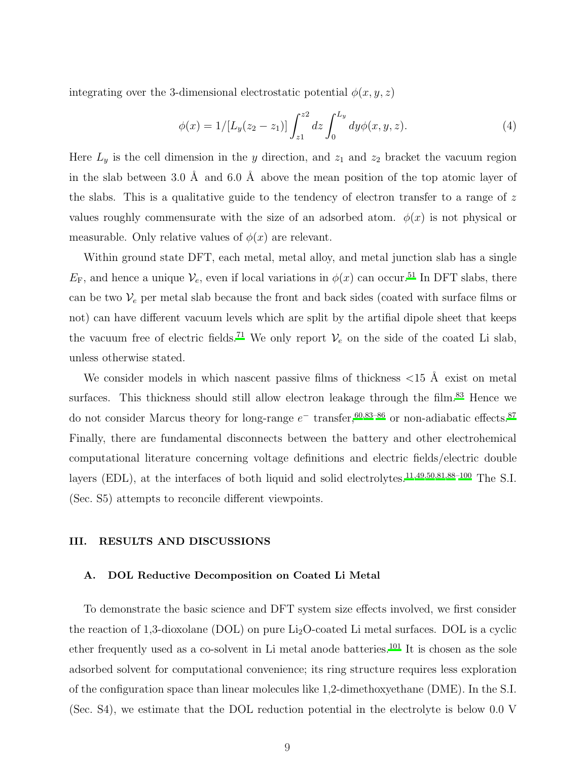integrating over the 3-dimensional electrostatic potential  $\phi(x, y, z)$ 

$$
\phi(x) = 1/[L_y(z_2 - z_1)] \int_{z_1}^{z_2} dz \int_0^{L_y} dy \phi(x, y, z).
$$
 (4)

Here  $L_y$  is the cell dimension in the y direction, and  $z_1$  and  $z_2$  bracket the vacuum region in the slab between 3.0 Å and 6.0 Å above the mean position of the top atomic layer of the slabs. This is a qualitative guide to the tendency of electron transfer to a range of  $z$ values roughly commensurate with the size of an adsorbed atom.  $\phi(x)$  is not physical or measurable. Only relative values of  $\phi(x)$  are relevant.

Within ground state DFT, each metal, metal alloy, and metal junction slab has a single  $E_{\rm F}$ , and hence a unique  $\mathcal{V}_e$ , even if local variations in  $\phi(x)$  can occur.<sup>[51](#page-35-0)</sup> In DFT slabs, there can be two  $V_e$  per metal slab because the front and back sides (coated with surface films or not) can have different vacuum levels which are split by the artifial dipole sheet that keeps the vacuum free of electric fields.<sup>[71](#page-36-6)</sup> We only report  $V_e$  on the side of the coated Li slab, unless otherwise stated.

We consider models in which nascent passive films of thickness  $\langle 15 \text{ Å} \rangle$  exist on metal surfaces. This thickness should still allow electron leakage through the film.<sup>[83](#page-37-7)</sup> Hence we do not consider Marcus theory for long-range  $e^-$  transfer,<sup>[60](#page-35-4)[,83](#page-37-7)[–86](#page-38-0)</sup> or non-adiabatic effects.<sup>[87](#page-38-1)</sup> Finally, there are fundamental disconnects between the battery and other electrohemical computational literature concerning voltage definitions and electric fields/electric double layers (EDL), at the interfaces of both liquid and solid electrolytes.<sup>[11](#page-31-4)[,49](#page-34-2)[,50](#page-34-3)[,81](#page-37-5)[,88](#page-38-2)-100</sup> The S.I. (Sec. S5) attempts to reconcile different viewpoints.

## III. RESULTS AND DISCUSSIONS

# A. DOL Reductive Decomposition on Coated Li Metal

To demonstrate the basic science and DFT system size effects involved, we first consider the reaction of 1,3-dioxolane (DOL) on pure  $Li<sub>2</sub>O$ -coated Li metal surfaces. DOL is a cyclic ether frequently used as a co-solvent in Li metal anode batteries. [101](#page-39-1) It is chosen as the sole adsorbed solvent for computational convenience; its ring structure requires less exploration of the configuration space than linear molecules like 1,2-dimethoxyethane (DME). In the S.I. (Sec. S4), we estimate that the DOL reduction potential in the electrolyte is below 0.0 V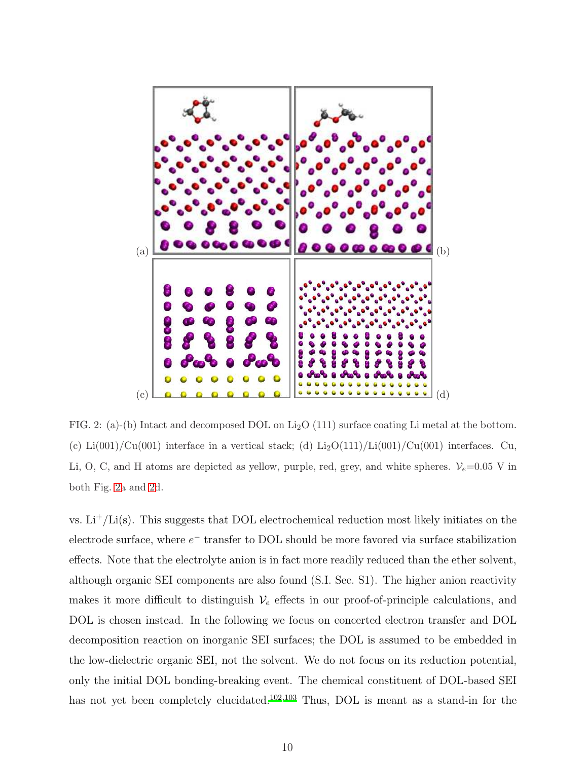

<span id="page-9-0"></span>FIG. 2: (a)-(b) Intact and decomposed DOL on  $Li<sub>2</sub>O$  (111) surface coating Li metal at the bottom. (c) Li(001)/Cu(001) interface in a vertical stack; (d) Li<sub>2</sub>O(111)/Li(001)/Cu(001) interfaces. Cu, Li, O, C, and H atoms are depicted as yellow, purple, red, grey, and white spheres.  $V_e$ =0.05 V in both Fig. [2a](#page-9-0) and [2d](#page-9-0).

vs.  $Li^+/Li(s)$ . This suggests that DOL electrochemical reduction most likely initiates on the electrode surface, where  $e^-$  transfer to DOL should be more favored via surface stabilization effects. Note that the electrolyte anion is in fact more readily reduced than the ether solvent, although organic SEI components are also found (S.I. Sec. S1). The higher anion reactivity makes it more difficult to distinguish  $V_e$  effects in our proof-of-principle calculations, and DOL is chosen instead. In the following we focus on concerted electron transfer and DOL decomposition reaction on inorganic SEI surfaces; the DOL is assumed to be embedded in the low-dielectric organic SEI, not the solvent. We do not focus on its reduction potential, only the initial DOL bonding-breaking event. The chemical constituent of DOL-based SEI has not yet been completely elucidated.<sup>[102](#page-39-2)[,103](#page-39-3)</sup> Thus, DOL is meant as a stand-in for the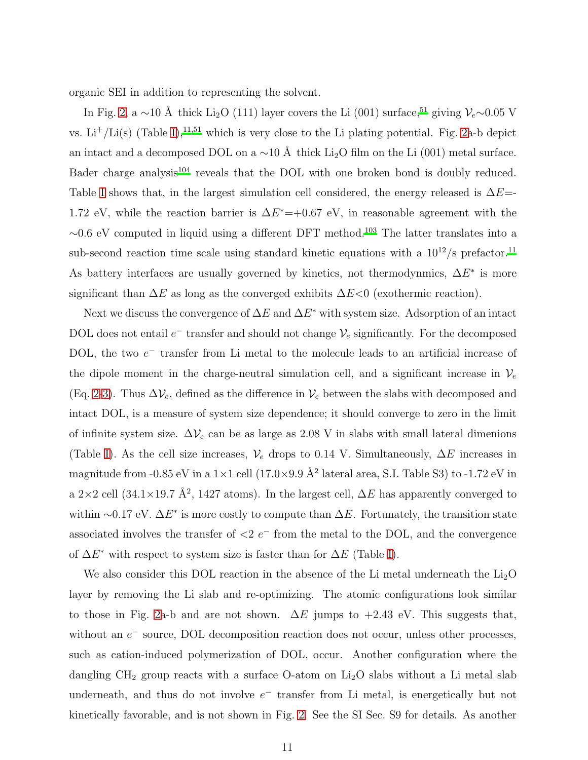organic SEI in addition to representing the solvent.

In Fig. [2,](#page-9-0) a ∼10 Å thick Li<sub>2</sub>O (111) layer covers the Li (001) surface,<sup>[51](#page-35-0)</sup> giving  $\mathcal{V}_e$ ∼0.05 V vs. Li<sup>+</sup>/Li(s) (Table [I\)](#page-20-0),<sup>[11](#page-31-4)[,51](#page-35-0)</sup> which is very close to the Li plating potential. Fig. [2a](#page-9-0)-b depict an intact and a decomposed DOL on a  $\sim$ 10 Å thick Li<sub>2</sub>O film on the Li (001) metal surface. Bader charge analysis<sup>[104](#page-39-4)</sup> reveals that the DOL with one broken bond is doubly reduced. Table [I](#page-20-0) shows that, in the largest simulation cell considered, the energy released is  $\Delta E=$ -1.72 eV, while the reaction barrier is  $\Delta E^* = +0.67$  eV, in reasonable agreement with the  $~\sim 0.6$  eV computed in liquid using a different DFT method.<sup>[103](#page-39-3)</sup> The latter translates into a sub-second reaction time scale using standard kinetic equations with a  $10^{12}/s$  prefactor.<sup>[11](#page-31-4)</sup> As battery interfaces are usually governed by kinetics, not thermodynmics,  $\Delta E^*$  is more significant than  $\Delta E$  as long as the converged exhibits  $\Delta E<0$  (exothermic reaction).

Next we discuss the convergence of  $\Delta E$  and  $\Delta E^*$  with system size. Adsorption of an intact DOL does not entail  $e^-$  transfer and should not change  $\mathcal{V}_e$  significantly. For the decomposed DOL, the two  $e^-$  transfer from Li metal to the molecule leads to an artificial increase of the dipole moment in the charge-neutral simulation cell, and a significant increase in  $V_e$ (Eq. [2](#page-7-0)[-3\)](#page-7-2). Thus  $\Delta V_e$ , defined as the difference in  $V_e$  between the slabs with decomposed and intact DOL, is a measure of system size dependence; it should converge to zero in the limit of infinite system size.  $\Delta V_e$  can be as large as 2.08 V in slabs with small lateral dimenions (Table [I\)](#page-20-0). As the cell size increases,  $\mathcal{V}_e$  drops to 0.14 V. Simultaneously,  $\Delta E$  increases in magnitude from -0.85 eV in a  $1\times1$  cell (17.0×9.9 Å<sup>2</sup> lateral area, S.I. Table S3) to -1.72 eV in a 2×2 cell (34.1×19.7 Å<sup>2</sup>, 1427 atoms). In the largest cell,  $\Delta E$  has apparently converged to within ~0.17 eV.  $\Delta E^*$  is more costly to compute than  $\Delta E$ . Fortunately, the transition state associated involves the transfer of  $\langle 2 \rangle e^{-}$  from the metal to the DOL, and the convergence of  $\Delta E^*$  with respect to system size is faster than for  $\Delta E$  (Table [I\)](#page-20-0).

We also consider this DOL reaction in the absence of the Li metal underneath the  $Li<sub>2</sub>O$ layer by removing the Li slab and re-optimizing. The atomic configurations look similar to those in Fig. [2a](#page-9-0)-b and are not shown.  $\Delta E$  jumps to +2.43 eV. This suggests that, without an  $e^-$  source, DOL decomposition reaction does not occur, unless other processes, such as cation-induced polymerization of DOL, occur. Another configuration where the dangling  $CH_2$  group reacts with a surface O-atom on  $Li_2O$  slabs without a Li metal slab underneath, and thus do not involve  $e^-$  transfer from Li metal, is energetically but not kinetically favorable, and is not shown in Fig. [2.](#page-9-0) See the SI Sec. S9 for details. As another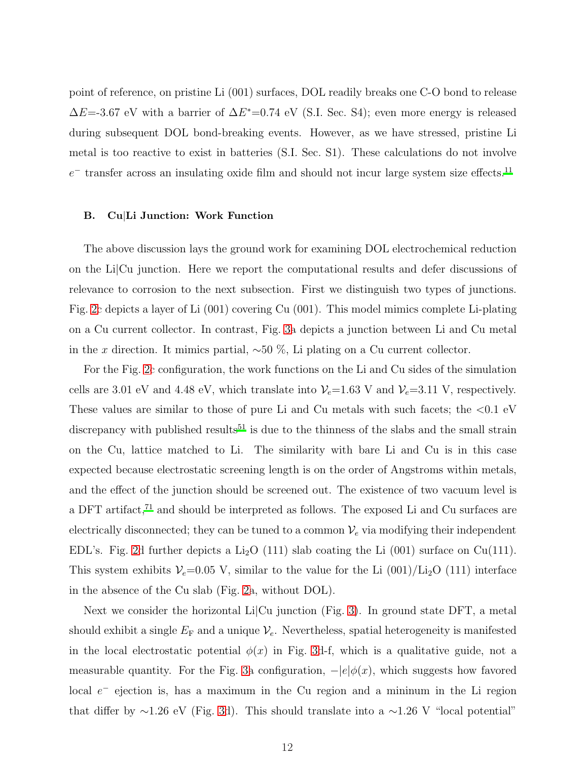point of reference, on pristine Li (001) surfaces, DOL readily breaks one C-O bond to release  $\Delta E$ =-3.67 eV with a barrier of  $\Delta E^*$ =0.74 eV (S.I. Sec. S4); even more energy is released during subsequent DOL bond-breaking events. However, as we have stressed, pristine Li metal is too reactive to exist in batteries (S.I. Sec. S1). These calculations do not involve  $e^-$  transfer across an insulating oxide film and should not incur large system size effects.<sup>[11](#page-31-4)</sup>

# B. Cu|Li Junction: Work Function

The above discussion lays the ground work for examining DOL electrochemical reduction on the Li|Cu junction. Here we report the computational results and defer discussions of relevance to corrosion to the next subsection. First we distinguish two types of junctions. Fig. [2c](#page-9-0) depicts a layer of Li (001) covering Cu (001). This model mimics complete Li-plating on a Cu current collector. In contrast, Fig. [3a](#page-12-0) depicts a junction between Li and Cu metal in the x direction. It mimics partial,  $\sim 50\%$ , Li plating on a Cu current collector.

For the Fig. [2c](#page-9-0) configuration, the work functions on the Li and Cu sides of the simulation cells are 3.01 eV and 4.48 eV, which translate into  $V_e$ =1.63 V and  $V_e$ =3.11 V, respectively. These values are similar to those of pure Li and Cu metals with such facets; the  $\langle 0.1 \text{ eV} \rangle$ discrepancy with published results<sup>[51](#page-35-0)</sup> is due to the thinness of the slabs and the small strain on the Cu, lattice matched to Li. The similarity with bare Li and Cu is in this case expected because electrostatic screening length is on the order of Angstroms within metals, and the effect of the junction should be screened out. The existence of two vacuum level is a DFT artifact,<sup>[71](#page-36-6)</sup> and should be interpreted as follows. The exposed Li and Cu surfaces are electrically disconnected; they can be tuned to a common  $\mathcal{V}_e$  via modifying their independent EDL's. Fig. [2d](#page-9-0) further depicts a  $Li<sub>2</sub>O$  (111) slab coating the Li (001) surface on Cu(111). This system exhibits  $V_e$ =0.05 V, similar to the value for the Li (001)/Li<sub>2</sub>O (111) interface in the absence of the Cu slab (Fig. [2a](#page-9-0), without DOL).

Next we consider the horizontal Li|Cu junction (Fig. [3\)](#page-12-0). In ground state DFT, a metal should exhibit a single  $E_F$  and a unique  $\mathcal{V}_e$ . Nevertheless, spatial heterogeneity is manifested in the local electrostatic potential  $\phi(x)$  in Fig. [3d](#page-12-0)-f, which is a qualitative guide, not a measurable quantity. For the Fig. [3a](#page-12-0) configuration,  $-|e|\phi(x)$ , which suggests how favored local  $e^-$  ejection is, has a maximum in the Cu region and a mininum in the Li region that differ by ∼1.26 eV (Fig. [3d](#page-12-0)). This should translate into a ∼1.26 V "local potential"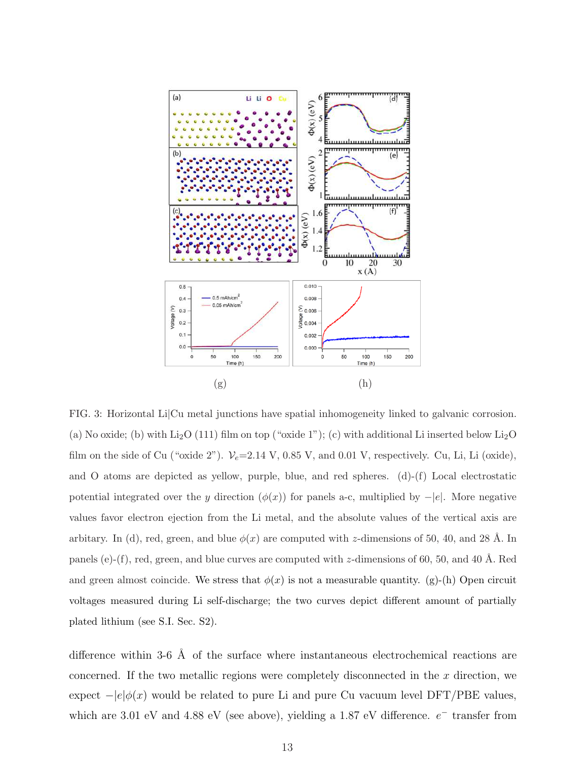

<span id="page-12-0"></span>FIG. 3: Horizontal Li|Cu metal junctions have spatial inhomogeneity linked to galvanic corrosion. (a) No oxide; (b) with  $Li_2O$  (111) film on top ("oxide 1"); (c) with additional Li inserted below  $Li_2O$ film on the side of Cu ("oxide 2").  $V_e$ =2.14 V, 0.85 V, and 0.01 V, respectively. Cu, Li, Li (oxide), and O atoms are depicted as yellow, purple, blue, and red spheres. (d)-(f) Local electrostatic potential integrated over the y direction  $(\phi(x))$  for panels a-c, multiplied by  $-|e|$ . More negative values favor electron ejection from the Li metal, and the absolute values of the vertical axis are arbitary. In (d), red, green, and blue  $\phi(x)$  are computed with z-dimensions of 50, 40, and 28 Å. In panels (e)-(f), red, green, and blue curves are computed with z-dimensions of 60, 50, and 40 Å. Red and green almost coincide. We stress that  $\phi(x)$  is not a measurable quantity. (g)-(h) Open circuit voltages measured during Li self-discharge; the two curves depict different amount of partially plated lithium (see S.I. Sec. S2).

difference within 3-6  $\AA$  of the surface where instantaneous electrochemical reactions are concerned. If the two metallic regions were completely disconnected in the  $x$  direction, we expect  $-|e|\phi(x)$  would be related to pure Li and pure Cu vacuum level DFT/PBE values, which are 3.01 eV and 4.88 eV (see above), yielding a 1.87 eV difference.  $e^-$  transfer from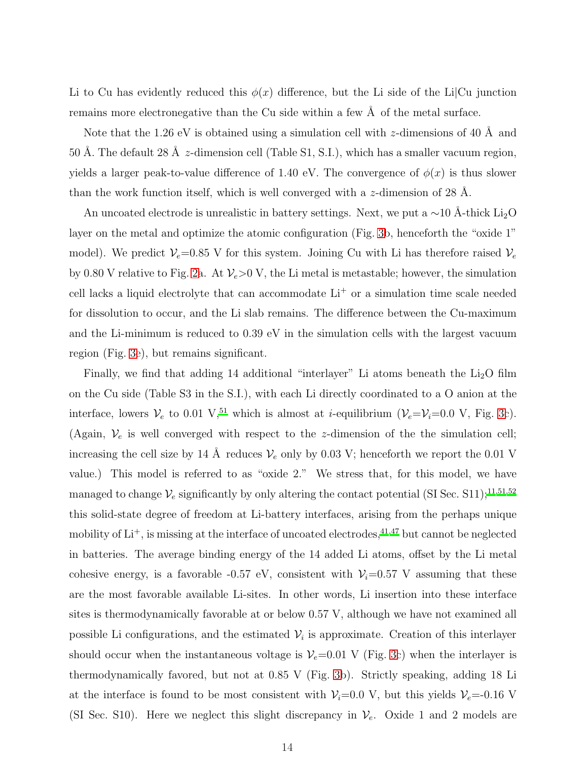Li to Cu has evidently reduced this  $\phi(x)$  difference, but the Li side of the Li|Cu junction remains more electronegative than the Cu side within a few  $\AA$  of the metal surface.

Note that the 1.26 eV is obtained using a simulation cell with z-dimensions of 40 Å and 50 Å. The default 28 Å  $z$ -dimension cell (Table S1, S.I.), which has a smaller vacuum region, yields a larger peak-to-value difference of 1.40 eV. The convergence of  $\phi(x)$  is thus slower than the work function itself, which is well converged with a  $z$ -dimension of 28 Å.

An uncoated electrode is unrealistic in battery settings. Next, we put a ∼10 Å-thick Li<sub>2</sub>O layer on the metal and optimize the atomic configuration (Fig. [3b](#page-12-0), henceforth the "oxide 1" model). We predict  $V_e$ =0.85 V for this system. Joining Cu with Li has therefore raised  $V_e$ by 0.80 V relative to Fig. [2a](#page-9-0). At  $V_e>0$  V, the Li metal is metastable; however, the simulation cell lacks a liquid electrolyte that can accommodate Li<sup>+</sup> or a simulation time scale needed for dissolution to occur, and the Li slab remains. The difference between the Cu-maximum and the Li-minimum is reduced to 0.39 eV in the simulation cells with the largest vacuum region (Fig. [3e](#page-12-0)), but remains significant.

Finally, we find that adding 14 additional "interlayer" Li atoms beneath the  $Li<sub>2</sub>O$  film on the Cu side (Table S3 in the S.I.), with each Li directly coordinated to a O anion at the interface, lowers  $V_e$  to 0.01 V,<sup>[51](#page-35-0)</sup> which is almost at *i*-equilibrium ( $V_e = V_i = 0.0$  V, Fig. [3c](#page-12-0)). (Again,  $V_e$  is well converged with respect to the z-dimension of the the simulation cell; increasing the cell size by 14 Å reduces  $V_e$  only by 0.03 V; henceforth we report the 0.01 V value.) This model is referred to as "oxide 2." We stress that, for this model, we have managed to change  $\mathcal{V}_e$  significantly by only altering the contact potential (SI Sec. S[11](#page-31-4));<sup>11[,51](#page-35-0)[,52](#page-35-1)</sup> this solid-state degree of freedom at Li-battery interfaces, arising from the perhaps unique mobility of  $Li^+$ , is missing at the interface of uncoated electrodes,<sup>[41](#page-34-0)[,47](#page-34-6)</sup> but cannot be neglected in batteries. The average binding energy of the 14 added Li atoms, offset by the Li metal cohesive energy, is a favorable -0.57 eV, consistent with  $V_i=0.57$  V assuming that these are the most favorable available Li-sites. In other words, Li insertion into these interface sites is thermodynamically favorable at or below 0.57 V, although we have not examined all possible Li configurations, and the estimated  $V_i$  is approximate. Creation of this interlayer should occur when the instantaneous voltage is  $V_e$ =0.01 V (Fig. [3c](#page-12-0)) when the interlayer is thermodynamically favored, but not at 0.85 V (Fig. [3b](#page-12-0)). Strictly speaking, adding 18 Li at the interface is found to be most consistent with  $V_i=0.0$  V, but this yields  $V_e=-0.16$  V (SI Sec. S10). Here we neglect this slight discrepancy in  $\mathcal{V}_e$ . Oxide 1 and 2 models are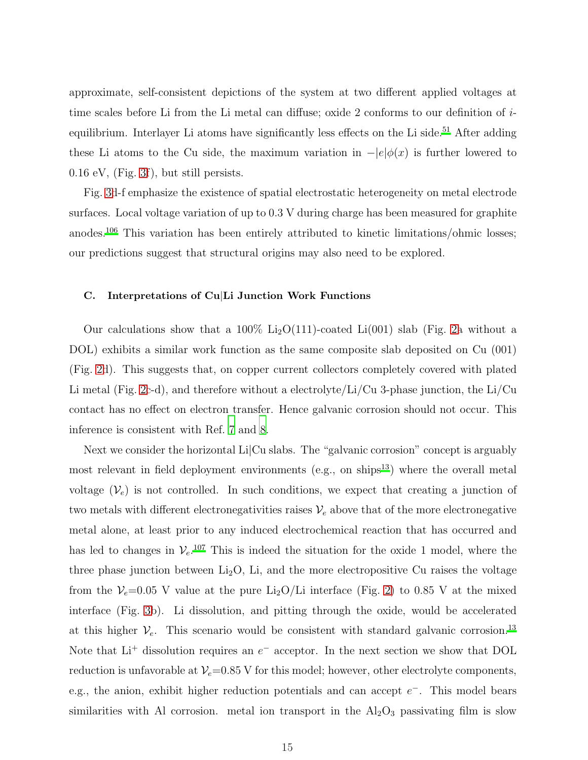approximate, self-consistent depictions of the system at two different applied voltages at time scales before Li from the Li metal can diffuse; oxide 2 conforms to our definition of i-equilibrium. Interlayer Li atoms have significantly less effects on the Li side.<sup>[51](#page-35-0)</sup> After adding these Li atoms to the Cu side, the maximum variation in  $-|e|\phi(x)$  is further lowered to 0.16 eV, (Fig. [3f](#page-12-0)), but still persists.

Fig. [3d](#page-12-0)-f emphasize the existence of spatial electrostatic heterogeneity on metal electrode surfaces. Local voltage variation of up to 0.3 V during charge has been measured for graphite anodes.[106](#page-39-5) This variation has been entirely attributed to kinetic limitations/ohmic losses; our predictions suggest that structural origins may also need to be explored.

# C. Interpretations of Cu|Li Junction Work Functions

Our calculations show that a 100%  $Li_2O(111)$ -coated  $Li(001)$  slab (Fig. [2a](#page-9-0) without a DOL) exhibits a similar work function as the same composite slab deposited on Cu (001) (Fig. [2d](#page-9-0)). This suggests that, on copper current collectors completely covered with plated Li metal (Fig. [2c](#page-9-0)-d), and therefore without a electrolyte/Li/Cu 3-phase junction, the Li/Cu contact has no effect on electron transfer. Hence galvanic corrosion should not occur. This inference is consistent with Ref. [7](#page-31-1) and [8.](#page-31-2)

Next we consider the horizontal Li|Cu slabs. The "galvanic corrosion" concept is arguably most relevant in field deployment environments (e.g., on ships $^{13}$  $^{13}$  $^{13}$ ) where the overall metal voltage  $(\mathcal{V}_e)$  is not controlled. In such conditions, we expect that creating a junction of two metals with different electronegativities raises  $V_e$  above that of the more electronegative metal alone, at least prior to any induced electrochemical reaction that has occurred and has led to changes in  $V_e$ .<sup>[107](#page-39-6)</sup> This is indeed the situation for the oxide 1 model, where the three phase junction between  $Li<sub>2</sub>O$ , Li, and the more electropositive Cu raises the voltage from the  $V_e=0.05$  V value at the pure Li<sub>2</sub>O/Li interface (Fig. [2\)](#page-9-0) to 0.85 V at the mixed interface (Fig. [3b](#page-12-0)). Li dissolution, and pitting through the oxide, would be accelerated at this higher  $\mathcal{V}_e$ . This scenario would be consistent with standard galvanic corrosion.<sup>[13](#page-31-6)</sup> Note that  $Li^+$  dissolution requires an  $e^-$  acceptor. In the next section we show that DOL reduction is unfavorable at  $V_e$ =0.85 V for this model; however, other electrolyte components, e.g., the anion, exhibit higher reduction potentials and can accept  $e^-$ . This model bears similarities with Al corrosion. metal ion transport in the  $Al_2O_3$  passivating film is slow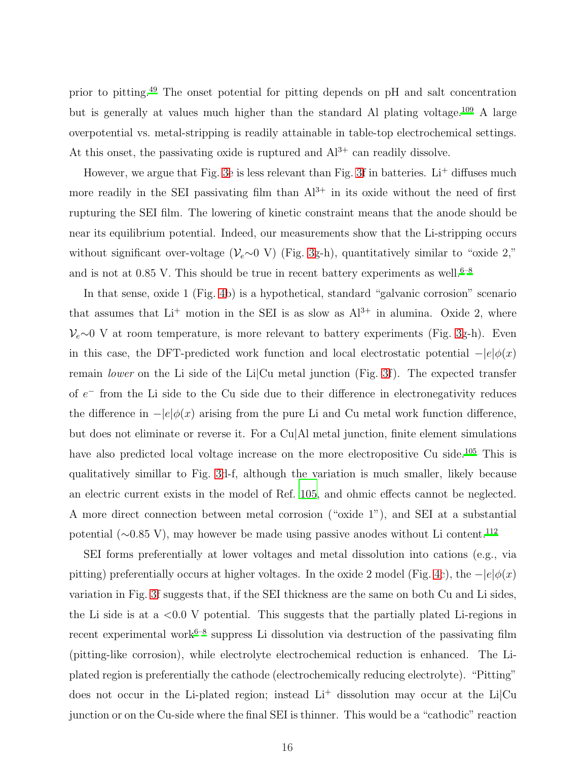prior to pitting.[49](#page-34-2) The onset potential for pitting depends on pH and salt concentration but is generally at values much higher than the standard Al plating voltage.[109](#page-40-0) A large overpotential vs. metal-stripping is readily attainable in table-top electrochemical settings. At this onset, the passivating oxide is ruptured and  $Al^{3+}$  can readily dissolve.

However, we argue that Fig. [3e](#page-12-0) is less relevant than Fig. [3f](#page-12-0) in batteries.  $Li^+$  diffuses much more readily in the SEI passivating film than  $Al^{3+}$  in its oxide without the need of first rupturing the SEI film. The lowering of kinetic constraint means that the anode should be near its equilibrium potential. Indeed, our measurements show that the Li-stripping occurs without significant over-voltage ( $\mathcal{V}_e \sim 0$  V) (Fig. [3g](#page-12-0)-h), quantitatively similar to "oxide 2," and is not at 0.85 V. This should be true in recent battery experiments as well.<sup>[6](#page-31-10)[–8](#page-31-2)</sup>

In that sense, oxide 1 (Fig. [4b](#page-18-0)) is a hypothetical, standard "galvanic corrosion" scenario that assumes that  $Li^+$  motion in the SEI is as slow as  $Al^{3+}$  in alumina. Oxide 2, where  $\mathcal{V}_e$ ∼0 V at room temperature, is more relevant to battery experiments (Fig. [3g](#page-12-0)-h). Even in this case, the DFT-predicted work function and local electrostatic potential  $-|e|\phi(x)$ remain *lower* on the Li side of the Li $|Cu \text{ metal junction (Fig. 3f)}$  $|Cu \text{ metal junction (Fig. 3f)}$  $|Cu \text{ metal junction (Fig. 3f)}$ . The expected transfer of  $e^-$  from the Li side to the Cu side due to their difference in electronegativity reduces the difference in  $-|e|\phi(x)$  arising from the pure Li and Cu metal work function difference, but does not eliminate or reverse it. For a Cu|Al metal junction, finite element simulations have also predicted local voltage increase on the more electropositive Cu side.<sup>[105](#page-39-7)</sup> This is qualitatively simillar to Fig. [3d](#page-12-0)-f, although the variation is much smaller, likely because an electric current exists in the model of Ref. [105](#page-39-7), and ohmic effects cannot be neglected. A more direct connection between metal corrosion ("oxide 1"), and SEI at a substantial potential (∼0.85 V), may however be made using passive anodes without Li content.<sup>[112](#page-40-1)</sup>

SEI forms preferentially at lower voltages and metal dissolution into cations (e.g., via pitting) preferentially occurs at higher voltages. In the oxide 2 model (Fig. [4c](#page-18-0)), the  $-|e|\phi(x)$ variation in Fig. [3f](#page-12-0) suggests that, if the SEI thickness are the same on both Cu and Li sides, the Li side is at a  $\langle 0.0 \rangle$  v potential. This suggests that the partially plated Li-regions in recent experimental work<sup>[6](#page-31-10)[–8](#page-31-2)</sup> suppress Li dissolution via destruction of the passivating film (pitting-like corrosion), while electrolyte electrochemical reduction is enhanced. The Liplated region is preferentially the cathode (electrochemically reducing electrolyte). "Pitting" does not occur in the Li-plated region; instead  $Li<sup>+</sup>$  dissolution may occur at the Li $|Cu|$ junction or on the Cu-side where the final SEI is thinner. This would be a "cathodic" reaction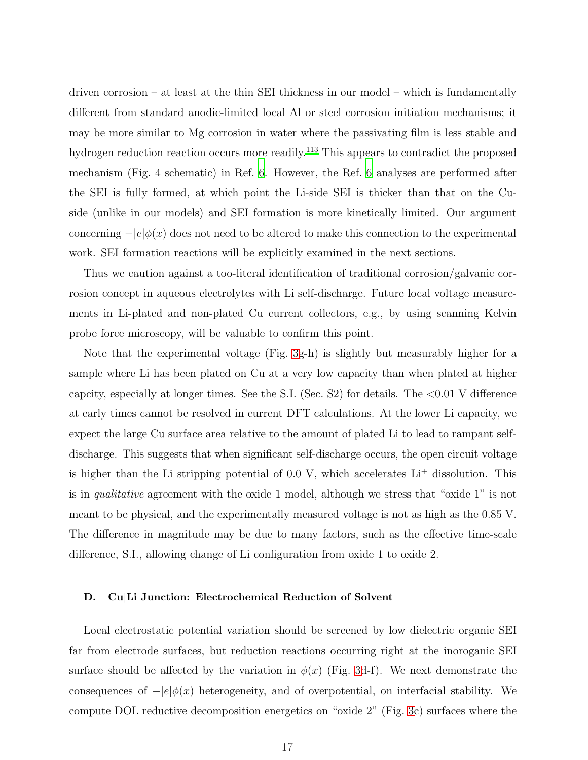driven corrosion – at least at the thin SEI thickness in our model – which is fundamentally different from standard anodic-limited local Al or steel corrosion initiation mechanisms; it may be more similar to Mg corrosion in water where the passivating film is less stable and hydrogen reduction reaction occurs more readily.<sup>[113](#page-40-2)</sup> This appears to contradict the proposed mechanism (Fig. 4 schematic) in Ref. [6](#page-31-10). However, the Ref. [6](#page-31-10) analyses are performed after the SEI is fully formed, at which point the Li-side SEI is thicker than that on the Cuside (unlike in our models) and SEI formation is more kinetically limited. Our argument concerning  $-|e|\phi(x)$  does not need to be altered to make this connection to the experimental work. SEI formation reactions will be explicitly examined in the next sections.

Thus we caution against a too-literal identification of traditional corrosion/galvanic corrosion concept in aqueous electrolytes with Li self-discharge. Future local voltage measurements in Li-plated and non-plated Cu current collectors, e.g., by using scanning Kelvin probe force microscopy, will be valuable to confirm this point.

Note that the experimental voltage (Fig. [3g](#page-12-0)-h) is slightly but measurably higher for a sample where Li has been plated on Cu at a very low capacity than when plated at higher capcity, especially at longer times. See the S.I. (Sec. S2) for details. The  $<0.01$  V difference at early times cannot be resolved in current DFT calculations. At the lower Li capacity, we expect the large Cu surface area relative to the amount of plated Li to lead to rampant selfdischarge. This suggests that when significant self-discharge occurs, the open circuit voltage is higher than the Li stripping potential of  $0.0 \text{ V}$ , which accelerates  $Li^+$  dissolution. This is in qualitative agreement with the oxide 1 model, although we stress that "oxide 1" is not meant to be physical, and the experimentally measured voltage is not as high as the 0.85 V. The difference in magnitude may be due to many factors, such as the effective time-scale difference, S.I., allowing change of Li configuration from oxide 1 to oxide 2.

#### D. Cu|Li Junction: Electrochemical Reduction of Solvent

Local electrostatic potential variation should be screened by low dielectric organic SEI far from electrode surfaces, but reduction reactions occurring right at the inoroganic SEI surface should be affected by the variation in  $\phi(x)$  (Fig. [3d](#page-12-0)-f). We next demonstrate the consequences of  $-|e|\phi(x)$  heterogeneity, and of overpotential, on interfacial stability. We compute DOL reductive decomposition energetics on "oxide 2" (Fig. [3c](#page-12-0)) surfaces where the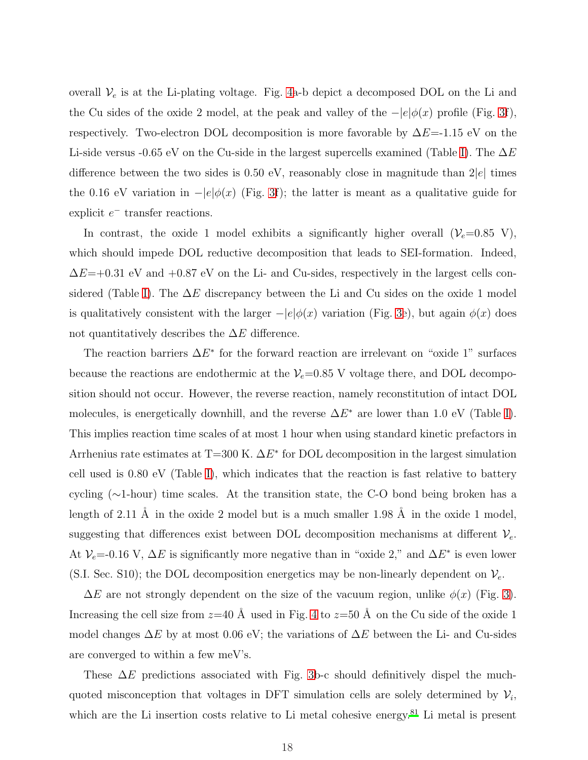overall  $V_e$  is at the Li-plating voltage. Fig. [4a](#page-18-0)-b depict a decomposed DOL on the Li and the Cu sides of the oxide 2 model, at the peak and valley of the  $-|e|\phi(x)$  profile (Fig. [3f](#page-12-0)), respectively. Two-electron DOL decomposition is more favorable by  $\Delta E=1.15$  eV on the Li-side versus -0.65 eV on the Cu-side in the largest supercells examined (Table [I\)](#page-20-0). The  $\Delta E$ difference between the two sides is  $0.50$  eV, reasonably close in magnitude than  $2|e|$  times the 0.16 eV variation in  $-|e|\phi(x)$  (Fig. [3f](#page-12-0)); the latter is meant as a qualitative guide for explicit  $e^-$  transfer reactions.

In contrast, the oxide 1 model exhibits a significantly higher overall  $(\mathcal{V}_e=0.85 \text{ V})$ , which should impede DOL reductive decomposition that leads to SEI-formation. Indeed,  $\Delta E$ =+0.31 eV and +0.87 eV on the Li- and Cu-sides, respectively in the largest cells con-sidered (Table [I\)](#page-20-0). The  $\Delta E$  discrepancy between the Li and Cu sides on the oxide 1 model is qualitatively consistent with the larger  $-|e|\phi(x)$  variation (Fig. [3e](#page-12-0)), but again  $\phi(x)$  does not quantitatively describes the  $\Delta E$  difference.

The reaction barriers  $\Delta E^*$  for the forward reaction are irrelevant on "oxide 1" surfaces because the reactions are endothermic at the  $V_e$ =0.85 V voltage there, and DOL decomposition should not occur. However, the reverse reaction, namely reconstitution of intact DOL molecules, is energetically downhill, and the reverse  $\Delta E^*$  are lower than 1.0 eV (Table [I\)](#page-20-0). This implies reaction time scales of at most 1 hour when using standard kinetic prefactors in Arrhenius rate estimates at T=300 K.  $\Delta E^*$  for DOL decomposition in the largest simulation cell used is 0.80 eV (Table [I\)](#page-20-0), which indicates that the reaction is fast relative to battery cycling (∼1-hour) time scales. At the transition state, the C-O bond being broken has a length of 2.11 Å in the oxide 2 model but is a much smaller 1.98 Å in the oxide 1 model, suggesting that differences exist between DOL decomposition mechanisms at different  $V_e$ . At  $\mathcal{V}_e$  = 0.16 V,  $\Delta E$  is significantly more negative than in "oxide 2," and  $\Delta E^*$  is even lower (S.I. Sec. S10); the DOL decomposition energetics may be non-linearly dependent on  $V_e$ .

 $\Delta E$  are not strongly dependent on the size of the vacuum region, unlike  $\phi(x)$  (Fig. [3\)](#page-12-0). Increasing the cell size from  $z=40 \text{ Å}$  used in Fig. [4](#page-18-0) to  $z=50 \text{ Å}$  on the Cu side of the oxide 1 model changes  $\Delta E$  by at most 0.06 eV; the variations of  $\Delta E$  between the Li- and Cu-sides are converged to within a few meV's.

These  $\Delta E$  predictions associated with Fig. [3b](#page-12-0)-c should definitively dispel the muchquoted misconception that voltages in DFT simulation cells are solely determined by  $\mathcal{V}_i$ , which are the Li insertion costs relative to Li metal cohesive energy.<sup>[81](#page-37-5)</sup> Li metal is present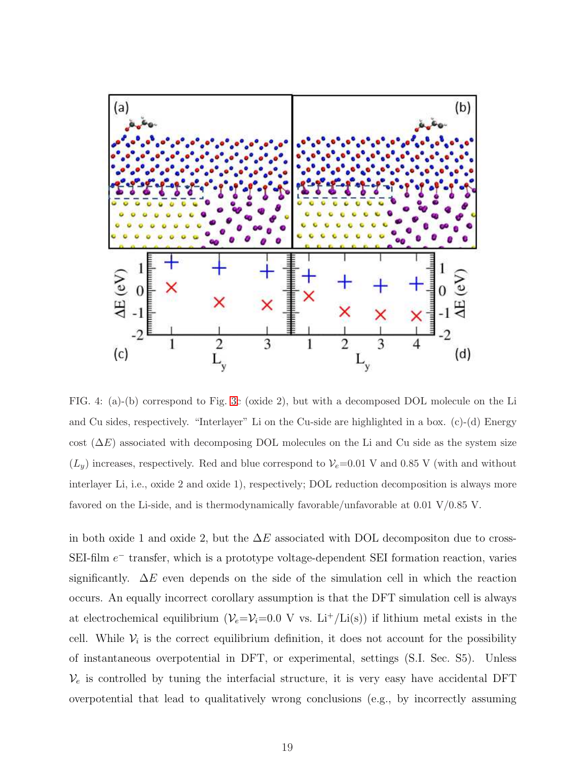

<span id="page-18-0"></span>FIG. 4: (a)-(b) correspond to Fig. [3c](#page-12-0) (oxide 2), but with a decomposed DOL molecule on the Li and Cu sides, respectively. "Interlayer" Li on the Cu-side are highlighted in a box. (c)-(d) Energy cost  $(\Delta E)$  associated with decomposing DOL molecules on the Li and Cu side as the system size  $(L_y)$  increases, respectively. Red and blue correspond to  $V_e$ =0.01 V and 0.85 V (with and without interlayer Li, i.e., oxide 2 and oxide 1), respectively; DOL reduction decomposition is always more favored on the Li-side, and is thermodynamically favorable/unfavorable at 0.01 V/0.85 V.

in both oxide 1 and oxide 2, but the  $\Delta E$  associated with DOL decompositon due to cross-SEI-film  $e^-$  transfer, which is a prototype voltage-dependent SEI formation reaction, varies significantly.  $\Delta E$  even depends on the side of the simulation cell in which the reaction occurs. An equally incorrect corollary assumption is that the DFT simulation cell is always at electrochemical equilibrium ( $V_e=V_i=0.0$  V vs. Li<sup>+</sup>/Li(s)) if lithium metal exists in the cell. While  $V_i$  is the correct equilibrium definition, it does not account for the possibility of instantaneous overpotential in DFT, or experimental, settings (S.I. Sec. S5). Unless  $\mathcal{V}_e$  is controlled by tuning the interfacial structure, it is very easy have accidental DFT overpotential that lead to qualitatively wrong conclusions (e.g., by incorrectly assuming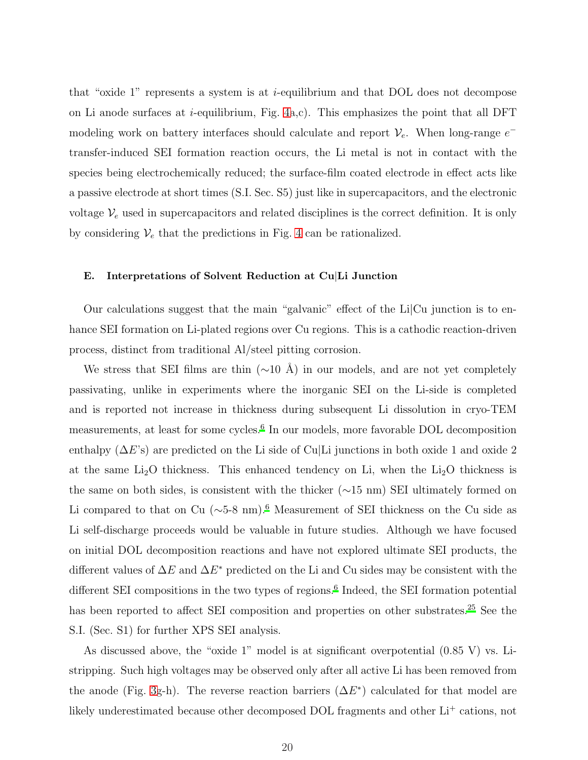that "oxide 1" represents a system is at  $i$ -equilibrium and that DOL does not decompose on Li anode surfaces at *i*-equilibrium, Fig.  $4a,c$ ). This emphasizes the point that all DFT modeling work on battery interfaces should calculate and report  $\mathcal{V}_e$ . When long-range  $e^{-}$ transfer-induced SEI formation reaction occurs, the Li metal is not in contact with the species being electrochemically reduced; the surface-film coated electrode in effect acts like a passive electrode at short times (S.I. Sec. S5) just like in supercapacitors, and the electronic voltage  $V_e$  used in supercapacitors and related disciplines is the correct definition. It is only by considering  $V_e$  that the predictions in Fig. [4](#page-18-0) can be rationalized.

#### E. Interpretations of Solvent Reduction at Cu|Li Junction

Our calculations suggest that the main "galvanic" effect of the Li|Cu junction is to enhance SEI formation on Li-plated regions over Cu regions. This is a cathodic reaction-driven process, distinct from traditional Al/steel pitting corrosion.

We stress that SEI films are thin ( $\sim$ 10 Å) in our models, and are not yet completely passivating, unlike in experiments where the inorganic SEI on the Li-side is completed and is reported not increase in thickness during subsequent Li dissolution in cryo-TEM measurements, at least for some cycles.<sup>[6](#page-31-10)</sup> In our models, more favorable DOL decomposition enthalpy  $(\Delta E)$  are predicted on the Li side of Cu|Li junctions in both oxide 1 and oxide 2 at the same  $Li<sub>2</sub>O$  thickness. This enhanced tendency on Li, when the  $Li<sub>2</sub>O$  thickness is the same on both sides, is consistent with the thicker (∼15 nm) SEI ultimately formed on Li compared to that on Cu ( $\sim$ 5-8 nm).<sup>[6](#page-31-10)</sup> Measurement of SEI thickness on the Cu side as Li self-discharge proceeds would be valuable in future studies. Although we have focused on initial DOL decomposition reactions and have not explored ultimate SEI products, the different values of  $\Delta E$  and  $\Delta E^*$  predicted on the Li and Cu sides may be consistent with the different SEI compositions in the two types of regions.<sup>[6](#page-31-10)</sup> Indeed, the SEI formation potential has been reported to affect SEI composition and properties on other substrates.<sup>[25](#page-32-7)</sup> See the S.I. (Sec. S1) for further XPS SEI analysis.

As discussed above, the "oxide 1" model is at significant overpotential (0.85 V) vs. Listripping. Such high voltages may be observed only after all active Li has been removed from the anode (Fig. [3g](#page-12-0)-h). The reverse reaction barriers  $(\Delta E^*)$  calculated for that model are likely underestimated because other decomposed DOL fragments and other  $\mathrm{Li}^+$  cations, not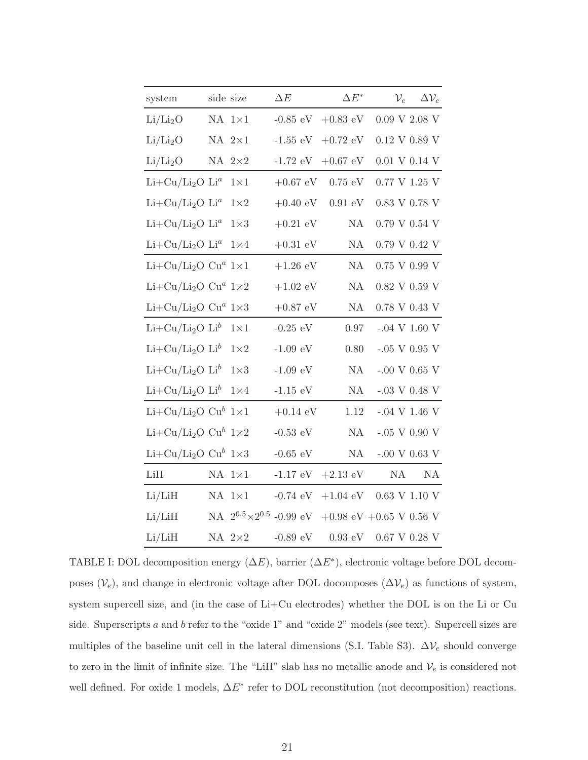| system                                             | side size |                 | $\Delta E$                           | $\Delta E^*$      | $\mathcal{V}_e$          | $\Delta\mathcal{V}_e$ |
|----------------------------------------------------|-----------|-----------------|--------------------------------------|-------------------|--------------------------|-----------------------|
| Li/Li <sub>2</sub> O                               |           | $NA$ $1\times1$ | $-0.85$ eV                           | $+0.83$ eV        | $0.09$ V $2.08$ V        |                       |
| Li/Li <sub>2</sub> O                               |           | NA $2\times1$   | $-1.55 \text{ eV}$                   | $+0.72~{\rm eV}$  | $0.12$ V $0.89$ V        |                       |
| Li/Li <sub>2</sub> O                               |           | NA $2\times 2$  | $-1.72 \text{ eV}$                   | $+0.67$ eV        | $0.01$ V $0.14$ V        |                       |
| $Li+Cu/Li2O Lia$                                   |           | $1\times1$      | $+0.67$ eV                           | $0.75 \text{ eV}$ | $0.77~\mathrm{V}$ 1.25 V |                       |
| $Li+Cu/Li2O Lia$                                   |           | $1\times 2$     | $+0.40 \text{ eV}$                   | $0.91 \text{ eV}$ | $0.83$ V $0.78$ V        |                       |
| $Li+Cu/Li2O Lia$                                   |           | $1\times3$      | $+0.21$ eV                           | NA                | $0.79$ V $0.54$ V        |                       |
| $Li+Cu/Li2O Lia$                                   |           | $1\times 4$     | $+0.31$ $\rm eV$                     | NA                | $0.79$ V $0.42$ V        |                       |
| $Li+Cu/Li2O Cua 1×1$                               |           |                 | $+1.26~{\rm eV}$                     | <b>NA</b>         | $0.75$ V $0.99$ V        |                       |
| Li+Cu/Li <sub>2</sub> O Cu <sup>a</sup> $1\times2$ |           |                 | $+1.02$ eV                           | NA                | $0.82$ V $0.59$ V        |                       |
| Li+Cu/Li <sub>2</sub> O Cu <sup>a</sup> $1\times3$ |           |                 | $+0.87$ $\rm eV$                     | NA                | $0.78$ V $0.43$ V        |                       |
| $Li+Cu/Li2O Lib$                                   |           | $1\times1$      | -0.25 $\rm eV$                       | $0.97\,$          | $-.04 V 1.60 V$          |                       |
| $Li+Cu/Li2O Lib$                                   |           | $1\times2$      | $-1.09 \text{ eV}$                   | 0.80              | $-.05$ V 0.95 V          |                       |
| $Li+Cu/Li2O Lib$                                   |           | $1\times3$      | $-1.09\ \mathrm{eV}$                 | NA                | -.00 V 0.65 V            |                       |
| $Li+Cu/Li2O Lib$                                   |           | $1\times 4$     | $-1.15$ eV                           | NA                | -.03 V 0.48 V            |                       |
| $Li+Cu/Li2O Cub 1\times 1$                         |           |                 | $+0.14 \text{ eV}$                   | 1.12              | $-.04$ V 1.46 V          |                       |
| $Li+Cu/Li2O Cub 1\times 2$                         |           |                 | -0.53 $\rm eV$                       | NA                | $-.05$ V 0.90 V          |                       |
| Li+Cu/Li <sub>2</sub> O Cu <sup>b</sup> $1\times3$ |           |                 | $-0.65$ eV                           | NA                | -.00 V 0.63 V            |                       |
| LiH                                                |           | $NA$ $1\times1$ | $-1.17$ eV                           | $+2.13$ eV        | NA                       | NA                    |
| Li/LiH                                             |           | $NA$ $1\times1$ | $-0.74$ eV                           | $+1.04$ eV        | $0.63$ V $1.10$ V        |                       |
| Li/LiH                                             |           |                 | NA $2^{0.5} \times 2^{0.5}$ -0.99 eV |                   | +0.98 eV +0.65 V 0.56 V  |                       |
| Li/LiH                                             |           | NA $2\times 2$  | -0.89 $\rm{eV}$                      | $0.93 \text{ eV}$ | $0.67$ V $0.28$ V        |                       |

<span id="page-20-0"></span>TABLE I: DOL decomposition energy  $(\Delta E)$ , barrier  $(\Delta E^*)$ , electronic voltage before DOL decomposes  $(\mathcal{V}_e)$ , and change in electronic voltage after DOL docomposes  $(\Delta \mathcal{V}_e)$  as functions of system, system supercell size, and (in the case of Li+Cu electrodes) whether the DOL is on the Li or Cu side. Superscripts a and b refer to the "oxide 1" and "oxide 2" models (see text). Supercell sizes are multiples of the baseline unit cell in the lateral dimensions (S.I. Table S3).  $\Delta V_e$  should converge to zero in the limit of infinite size. The "LiH" slab has no metallic anode and  $V_e$  is considered not well defined. For oxide 1 models,  $\Delta E^*$  refer to DOL reconstitution (not decomposition) reactions.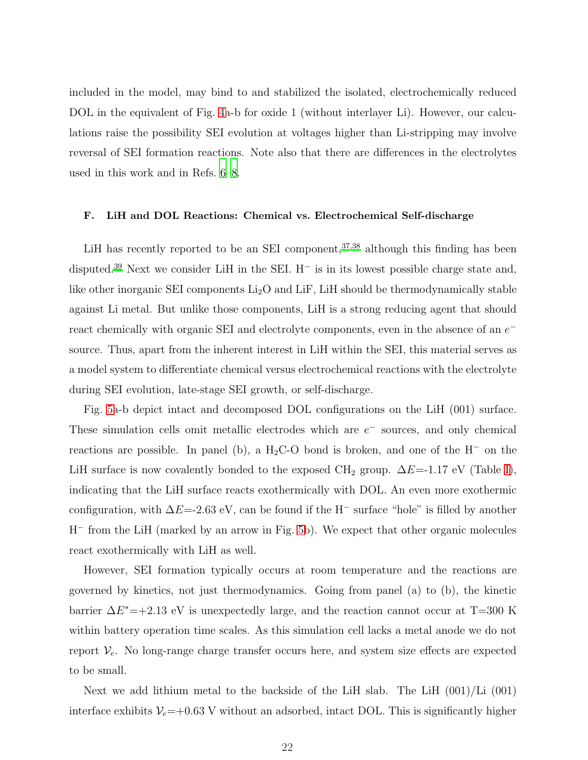included in the model, may bind to and stabilized the isolated, electrochemically reduced DOL in the equivalent of Fig. [4a](#page-18-0)-b for oxide 1 (without interlayer Li). However, our calculations raise the possibility SEI evolution at voltages higher than Li-stripping may involve reversal of SEI formation reactions. Note also that there are differences in the electrolytes used in this work and in Refs. [6](#page-31-10)[–8.](#page-31-2)

#### F. LiH and DOL Reactions: Chemical vs. Electrochemical Self-discharge

LiH has recently reported to be an SEI component,  $37,38$  $37,38$  although this finding has been disputed.[39](#page-34-5) Next we consider LiH in the SEI. H<sup>−</sup> is in its lowest possible charge state and, like other inorganic SEI components  $Li<sub>2</sub>O$  and LiF, LiH should be thermodynamically stable against Li metal. But unlike those components, LiH is a strong reducing agent that should react chemically with organic SEI and electrolyte components, even in the absence of an  $e^$ source. Thus, apart from the inherent interest in LiH within the SEI, this material serves as a model system to differentiate chemical versus electrochemical reactions with the electrolyte during SEI evolution, late-stage SEI growth, or self-discharge.

Fig. [5a](#page-22-0)-b depict intact and decomposed DOL configurations on the LiH (001) surface. These simulation cells omit metallic electrodes which are  $e^-$  sources, and only chemical reactions are possible. In panel (b), a  $H_2C-O$  bond is broken, and one of the  $H^-$  on the LiH surface is now covalently bonded to the exposed CH<sub>2</sub> group.  $\Delta E$ =-1.17 eV (Table [I\)](#page-20-0), indicating that the LiH surface reacts exothermically with DOL. An even more exothermic configuration, with  $\Delta E$ =-2.63 eV, can be found if the H<sup>-</sup> surface "hole" is filled by another H<sup>−</sup> from the LiH (marked by an arrow in Fig. [5b](#page-22-0)). We expect that other organic molecules react exothermically with LiH as well.

However, SEI formation typically occurs at room temperature and the reactions are governed by kinetics, not just thermodynamics. Going from panel (a) to (b), the kinetic barrier  $\Delta E^*$ =+2.13 eV is unexpectedly large, and the reaction cannot occur at T=300 K within battery operation time scales. As this simulation cell lacks a metal anode we do not report  $V_e$ . No long-range charge transfer occurs here, and system size effects are expected to be small.

Next we add lithium metal to the backside of the LiH slab. The LiH (001)/Li (001) interface exhibits  $V_e$ =+0.63 V without an adsorbed, intact DOL. This is significantly higher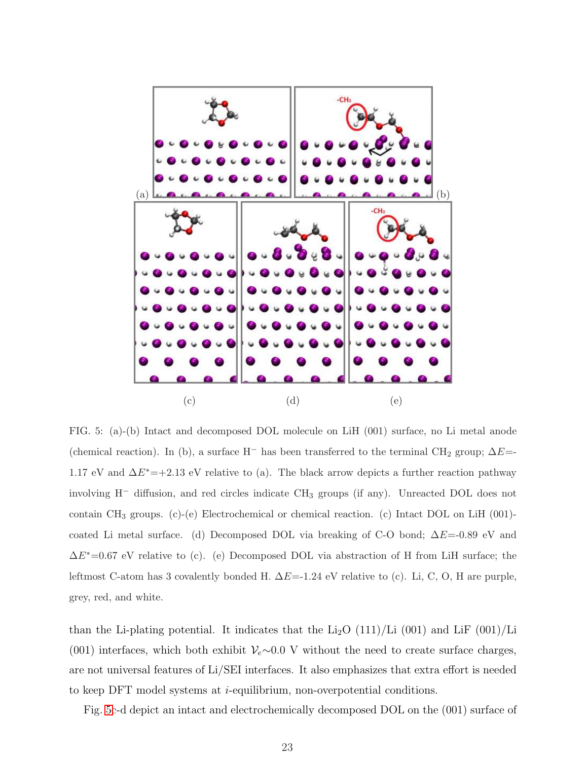

<span id="page-22-0"></span>FIG. 5: (a)-(b) Intact and decomposed DOL molecule on LiH (001) surface, no Li metal anode (chemical reaction). In (b), a surface H<sup>-</sup> has been transferred to the terminal CH<sub>2</sub> group;  $\Delta E=$ -1.17 eV and  $\Delta E^*$ =+2.13 eV relative to (a). The black arrow depicts a further reaction pathway involving H<sup>−</sup> diffusion, and red circles indicate CH<sup>3</sup> groups (if any). Unreacted DOL does not contain CH<sup>3</sup> groups. (c)-(e) Electrochemical or chemical reaction. (c) Intact DOL on LiH (001) coated Li metal surface. (d) Decomposed DOL via breaking of C-O bond;  $\Delta E$ =-0.89 eV and  $\Delta E^*$ =0.67 eV relative to (c). (e) Decomposed DOL via abstraction of H from LiH surface; the leftmost C-atom has 3 covalently bonded H.  $\Delta E$ =-1.24 eV relative to (c). Li, C, O, H are purple, grey, red, and white.

than the Li-plating potential. It indicates that the Li<sub>2</sub>O  $(111)/$ Li  $(001)$  and LiF  $(001)/$ Li (001) interfaces, which both exhibit  $\mathcal{V}_e \sim 0.0$  V without the need to create surface charges, are not universal features of Li/SEI interfaces. It also emphasizes that extra effort is needed to keep DFT model systems at i-equilibrium, non-overpotential conditions.

Fig. [5c](#page-22-0)-d depict an intact and electrochemically decomposed DOL on the (001) surface of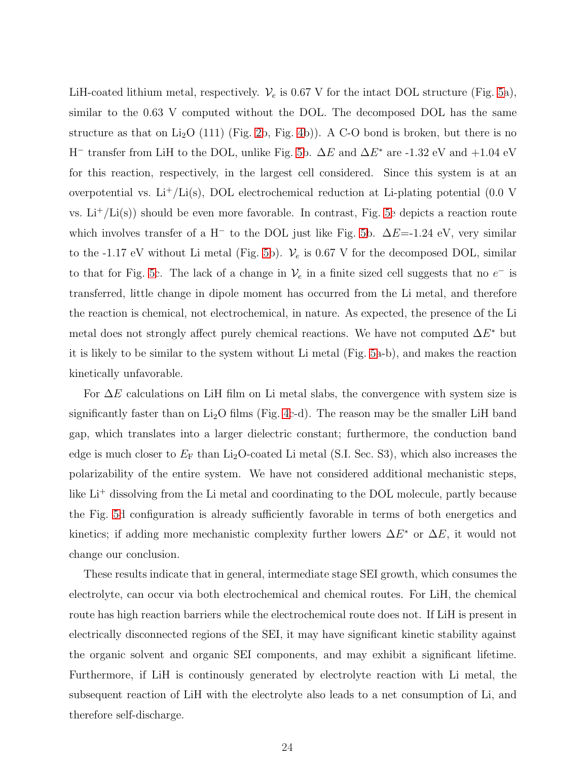LiH-coated lithium metal, respectively.  $\mathcal{V}_e$  is 0.67 V for the intact DOL structure (Fig. [5a](#page-22-0)), similar to the 0.63 V computed without the DOL. The decomposed DOL has the same structure as that on Li<sub>2</sub>O (111) (Fig. [2b](#page-9-0), Fig. [4b](#page-18-0))). A C-O bond is broken, but there is no H<sup>-</sup> transfer from LiH to the DOL, unlike Fig. [5b](#page-22-0).  $\Delta E$  and  $\Delta E^*$  are -1.32 eV and +1.04 eV for this reaction, respectively, in the largest cell considered. Since this system is at an overpotential vs.  $Li^+/Li(s)$ , DOL electrochemical reduction at Li-plating potential (0.0 V vs.  $Li^+ / Li(s)$  should be even more favorable. In contrast, Fig. [5e](#page-22-0) depicts a reaction route which involves transfer of a H<sup>−</sup> to the DOL just like Fig. [5b](#page-22-0).  $\Delta E$ =-1.24 eV, very similar to the -1.17 eV without Li metal (Fig. [5b](#page-22-0)).  $V_e$  is 0.67 V for the decomposed DOL, similar to that for Fig. [5c](#page-22-0). The lack of a change in  $\mathcal{V}_e$  in a finite sized cell suggests that no  $e^-$  is transferred, little change in dipole moment has occurred from the Li metal, and therefore the reaction is chemical, not electrochemical, in nature. As expected, the presence of the Li metal does not strongly affect purely chemical reactions. We have not computed  $\Delta E^*$  but it is likely to be similar to the system without Li metal (Fig. [5a](#page-22-0)-b), and makes the reaction kinetically unfavorable.

For  $\Delta E$  calculations on LiH film on Li metal slabs, the convergence with system size is significantly faster than on  $Li_2O$  films (Fig. [4c](#page-18-0)-d). The reason may be the smaller LiH band gap, which translates into a larger dielectric constant; furthermore, the conduction band edge is much closer to  $E_F$  than Li<sub>2</sub>O-coated Li metal (S.I. Sec. S3), which also increases the polarizability of the entire system. We have not considered additional mechanistic steps, like  ${\rm Li}^+$  dissolving from the Li metal and coordinating to the DOL molecule, partly because the Fig. [5d](#page-22-0) configuration is already sufficiently favorable in terms of both energetics and kinetics; if adding more mechanistic complexity further lowers  $\Delta E^*$  or  $\Delta E$ , it would not change our conclusion.

These results indicate that in general, intermediate stage SEI growth, which consumes the electrolyte, can occur via both electrochemical and chemical routes. For LiH, the chemical route has high reaction barriers while the electrochemical route does not. If LiH is present in electrically disconnected regions of the SEI, it may have significant kinetic stability against the organic solvent and organic SEI components, and may exhibit a significant lifetime. Furthermore, if LiH is continously generated by electrolyte reaction with Li metal, the subsequent reaction of LiH with the electrolyte also leads to a net consumption of Li, and therefore self-discharge.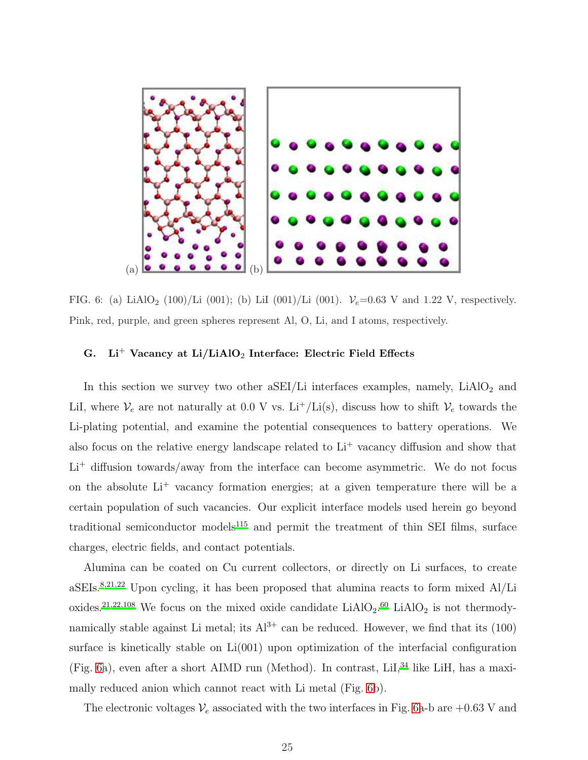

<span id="page-24-0"></span>FIG. 6: (a) LiAlO<sub>2</sub> (100)/Li (001); (b) LiI (001)/Li (001).  $V_e$ =0.63 V and 1.22 V, respectively. Pink, red, purple, and green spheres represent Al, O, Li, and I atoms, respectively.

# G. Li<sup>+</sup> Vacancy at Li/LiAlO<sub>2</sub> Interface: Electric Field Effects

In this section we survey two other  $aSEI/Li$  interfaces examples, namely,  $LiAlO<sub>2</sub>$  and LiI, where  $V_e$  are not naturally at 0.0 V vs. Li<sup>+</sup>/Li(s), discuss how to shift  $V_e$  towards the Li-plating potential, and examine the potential consequences to battery operations. We also focus on the relative energy landscape related to  $Li<sup>+</sup>$  vacancy diffusion and show that  $Li<sup>+</sup>$  diffusion towards/away from the interface can become asymmetric. We do not focus on the absolute Li<sup>+</sup> vacancy formation energies; at a given temperature there will be a certain population of such vacancies. Our explicit interface models used herein go beyond traditional semiconductor models $115$  and permit the treatment of thin SEI films, surface charges, electric fields, and contact potentials.

Alumina can be coated on Cu current collectors, or directly on Li surfaces, to create  $aSEIs.<sup>8,21,22</sup>$  $aSEIs.<sup>8,21,22</sup>$  $aSEIs.<sup>8,21,22</sup>$  $aSEIs.<sup>8,21,22</sup>$  $aSEIs.<sup>8,21,22</sup>$  Upon cycling, it has been proposed that alumina reacts to form mixed Al/Li oxides.<sup>[21](#page-32-2)[,22](#page-32-3)[,108](#page-39-8)</sup> We focus on the mixed oxide candidate  $LiAlO<sub>2</sub>$ .<sup>[60](#page-35-4)</sup> LiAlO<sub>2</sub> is not thermodynamically stable against Li metal; its  $Al^{3+}$  can be reduced. However, we find that its (100) surface is kinetically stable on Li(001) upon optimization of the interfacial configuration (Fig. [6a](#page-24-0)), even after a short AIMD run (Method). In contrast,  $LiI$ ,  $34$  like LiH, has a maximally reduced anion which cannot react with Li metal (Fig. [6b](#page-24-0)).

The electronic voltages  $V_e$  associated with the two interfaces in Fig. [6a](#page-24-0)-b are +0.63 V and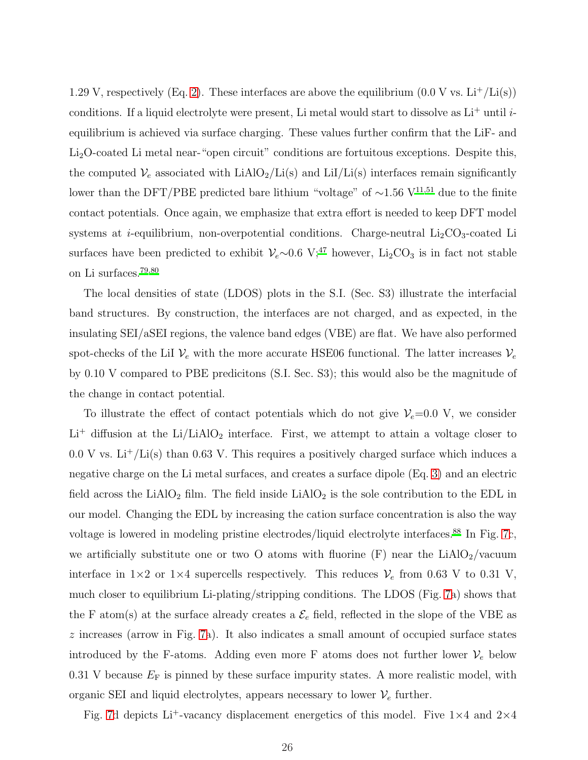1.29 V, respectively (Eq. [2\)](#page-7-0). These interfaces are above the equilibrium  $(0.0 \text{ V} \text{ vs. } \text{Li}^+/\text{Li}(s))$ conditions. If a liquid electrolyte were present, Li metal would start to dissolve as  $Li<sup>+</sup>$  until *i*equilibrium is achieved via surface charging. These values further confirm that the LiF- and Li<sub>2</sub>O-coated Li metal near-"open circuit" conditions are fortuitous exceptions. Despite this, the computed  $V_e$  associated with LiAlO<sub>2</sub>/Li(s) and LiI/Li(s) interfaces remain significantly lower than the DFT/PBE predicted bare lithium "voltage" of ~1.56 V<sup>[11](#page-31-4)[,51](#page-35-0)</sup> due to the finite contact potentials. Once again, we emphasize that extra effort is needed to keep DFT model systems at *i*-equilibrium, non-overpotential conditions. Charge-neutral  $Li<sub>2</sub>CO<sub>3</sub>$ -coated Li surfaces have been predicted to exhibit  $V_e \sim 0.6 \text{ V};^{47}$  $V_e \sim 0.6 \text{ V};^{47}$  $V_e \sim 0.6 \text{ V};^{47}$  however, Li<sub>2</sub>CO<sub>3</sub> is in fact not stable on Li surfaces.[79](#page-37-3)[,80](#page-37-4)

The local densities of state (LDOS) plots in the S.I. (Sec. S3) illustrate the interfacial band structures. By construction, the interfaces are not charged, and as expected, in the insulating SEI/aSEI regions, the valence band edges (VBE) are flat. We have also performed spot-checks of the LiI  $V_e$  with the more accurate HSE06 functional. The latter increases  $V_e$ by 0.10 V compared to PBE predicitons (S.I. Sec. S3); this would also be the magnitude of the change in contact potential.

To illustrate the effect of contact potentials which do not give  $V_e=0.0$  V, we consider  ${\rm Li}^+$  diffusion at the  ${\rm Li}/{\rm LiAlO_2}$  interface. First, we attempt to attain a voltage closer to  $0.0$  V vs. Li<sup>+</sup>/Li(s) than 0.63 V. This requires a positively charged surface which induces a negative charge on the Li metal surfaces, and creates a surface dipole (Eq. [3\)](#page-7-2) and an electric field across the LiAlO<sub>2</sub> film. The field inside LiAlO<sub>2</sub> is the sole contribution to the EDL in our model. Changing the EDL by increasing the cation surface concentration is also the way voltage is lowered in modeling pristine electrodes/liquid electrolyte interfaces.[88](#page-38-2) In Fig. [7c](#page-27-0), we artificially substitute one or two O atoms with fluorine  $(F)$  near the LiAlO<sub>2</sub>/vacuum interface in  $1\times 2$  or  $1\times 4$  supercells respectively. This reduces  $V_e$  from 0.63 V to 0.31 V, much closer to equilibrium Li-plating/stripping conditions. The LDOS (Fig. [7a](#page-27-0)) shows that the F atom(s) at the surface already creates a  $\mathcal{E}_e$  field, reflected in the slope of the VBE as z increases (arrow in Fig. [7a](#page-27-0)). It also indicates a small amount of occupied surface states introduced by the F-atoms. Adding even more F atoms does not further lower  $V_e$  below 0.31 V because  $E_F$  is pinned by these surface impurity states. A more realistic model, with organic SEI and liquid electrolytes, appears necessary to lower  $\mathcal{V}_e$  further.

Fig. [7d](#page-27-0) depicts Li<sup>+</sup>-vacancy displacement energetics of this model. Five  $1\times4$  and  $2\times4$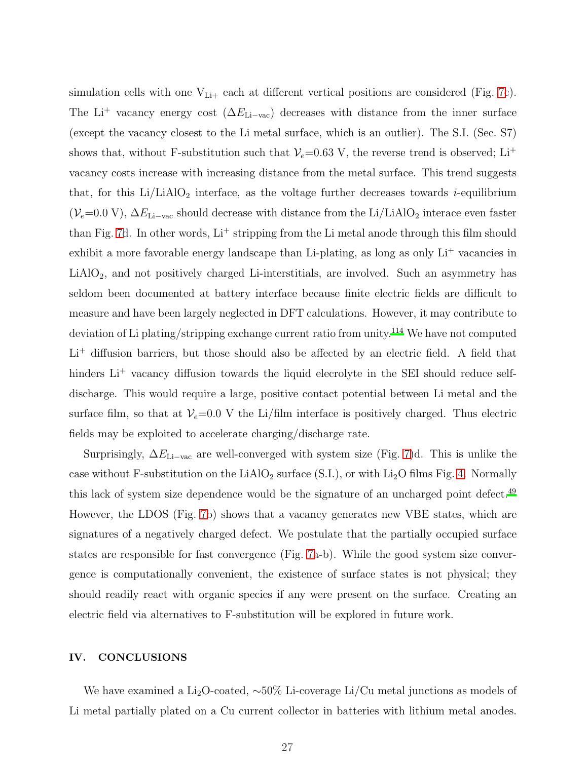simulation cells with one  $V_{Li+}$  each at different vertical positions are considered (Fig. [7c](#page-27-0)). The Li<sup>+</sup> vacancy energy cost ( $\Delta E_{\text{Li}-\text{vac}}$ ) decreases with distance from the inner surface (except the vacancy closest to the Li metal surface, which is an outlier). The S.I. (Sec. S7) shows that, without F-substitution such that  $V_e$ =0.63 V, the reverse trend is observed; Li<sup>+</sup> vacancy costs increase with increasing distance from the metal surface. This trend suggests that, for this  $Li/LiAlO<sub>2</sub>$  interface, as the voltage further decreases towards *i*-equilibrium ( $V_e$ =0.0 V),  $\Delta E_{\rm Li-vac}$  should decrease with distance from the Li/LiAlO<sub>2</sub> interace even faster than Fig. [7d](#page-27-0). In other words,  $Li<sup>+</sup>$  stripping from the Li metal anode through this film should exhibit a more favorable energy landscape than Li-plating, as long as only  $Li<sup>+</sup>$  vacancies in LiAlO2, and not positively charged Li-interstitials, are involved. Such an asymmetry has seldom been documented at battery interface because finite electric fields are difficult to measure and have been largely neglected in DFT calculations. However, it may contribute to deviation of Li plating/stripping exchange current ratio from unity.<sup>[114](#page-40-4)</sup> We have not computed  $Li<sup>+</sup>$  diffusion barriers, but those should also be affected by an electric field. A field that hinders Li<sup>+</sup> vacancy diffusion towards the liquid elecrolyte in the SEI should reduce selfdischarge. This would require a large, positive contact potential between Li metal and the surface film, so that at  $V_e=0.0$  V the Li/film interface is positively charged. Thus electric fields may be exploited to accelerate charging/discharge rate.

Surprisingly,  $\Delta E_{\text{Li}-\text{vac}}$  are well-converged with system size (Fig. [7\)](#page-27-0)d. This is unlike the case without F-substitution on the LiAlO<sub>2</sub> surface (S.I.), or with Li<sub>2</sub>O films Fig. [4.](#page-18-0) Normally this lack of system size dependence would be the signature of an uncharged point defect.<sup>[49](#page-34-2)</sup> However, the LDOS (Fig. [7b](#page-27-0)) shows that a vacancy generates new VBE states, which are signatures of a negatively charged defect. We postulate that the partially occupied surface states are responsible for fast convergence (Fig. [7a](#page-27-0)-b). While the good system size convergence is computationally convenient, the existence of surface states is not physical; they should readily react with organic species if any were present on the surface. Creating an electric field via alternatives to F-substitution will be explored in future work.

### IV. CONCLUSIONS

We have examined a Li<sub>2</sub>O-coated,  $\sim 50\%$  Li-coverage Li/Cu metal junctions as models of Li metal partially plated on a Cu current collector in batteries with lithium metal anodes.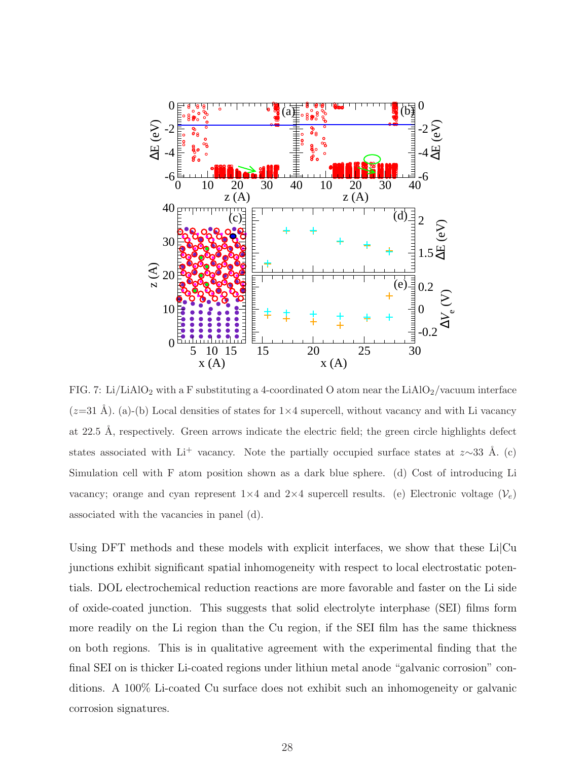

<span id="page-27-0"></span>FIG. 7: Li/LiAlO<sub>2</sub> with a F substituting a 4-coordinated O atom near the LiAlO<sub>2</sub>/vacuum interface  $(z=31 \text{ Å})$ . (a)-(b) Local densities of states for  $1\times4$  supercell, without vacancy and with Li vacancy at 22.5 Å, respectively. Green arrows indicate the electric field; the green circle highlights defect states associated with Li<sup>+</sup> vacancy. Note the partially occupied surface states at z∼33 Å. (c) Simulation cell with F atom position shown as a dark blue sphere. (d) Cost of introducing Li vacancy; orange and cyan represent  $1\times4$  and  $2\times4$  supercell results. (e) Electronic voltage  $(\mathcal{V}_e)$ associated with the vacancies in panel (d).

Using DFT methods and these models with explicit interfaces, we show that these  $Li|Cu$ junctions exhibit significant spatial inhomogeneity with respect to local electrostatic potentials. DOL electrochemical reduction reactions are more favorable and faster on the Li side of oxide-coated junction. This suggests that solid electrolyte interphase (SEI) films form more readily on the Li region than the Cu region, if the SEI film has the same thickness on both regions. This is in qualitative agreement with the experimental finding that the final SEI on is thicker Li-coated regions under lithiun metal anode "galvanic corrosion" conditions. A 100% Li-coated Cu surface does not exhibit such an inhomogeneity or galvanic corrosion signatures.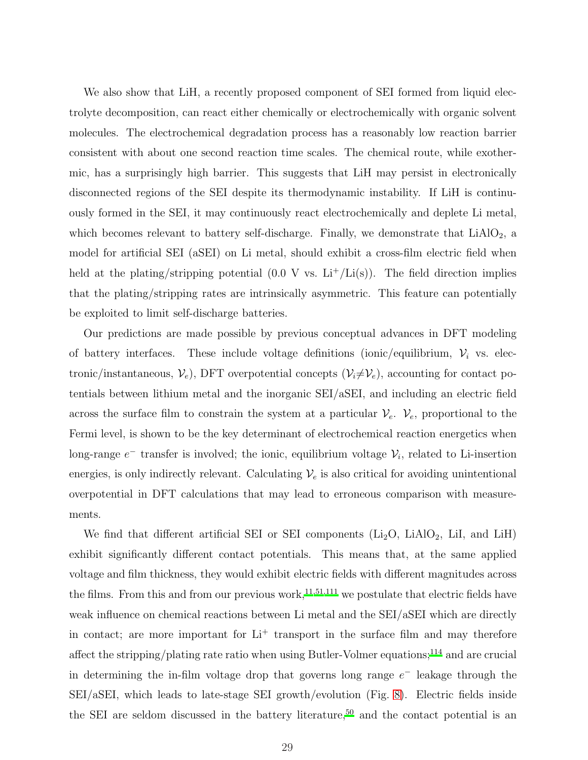We also show that LiH, a recently proposed component of SEI formed from liquid electrolyte decomposition, can react either chemically or electrochemically with organic solvent molecules. The electrochemical degradation process has a reasonably low reaction barrier consistent with about one second reaction time scales. The chemical route, while exothermic, has a surprisingly high barrier. This suggests that LiH may persist in electronically disconnected regions of the SEI despite its thermodynamic instability. If LiH is continuously formed in the SEI, it may continuously react electrochemically and deplete Li metal, which becomes relevant to battery self-discharge. Finally, we demonstrate that  $LiAlO<sub>2</sub>$ , a model for artificial SEI (aSEI) on Li metal, should exhibit a cross-film electric field when held at the plating/stripping potential  $(0.0 \text{ V} \text{ vs. } \text{Li}^+/\text{Li(s)})$ . The field direction implies that the plating/stripping rates are intrinsically asymmetric. This feature can potentially be exploited to limit self-discharge batteries.

Our predictions are made possible by previous conceptual advances in DFT modeling of battery interfaces. These include voltage definitions (ionic/equilibrium,  $V_i$  vs. electronic/instantaneous,  $V_e$ ), DFT overpotential concepts  $(V_i \neq V_e)$ , accounting for contact potentials between lithium metal and the inorganic SEI/aSEI, and including an electric field across the surface film to constrain the system at a particular  $\mathcal{V}_e$ .  $\mathcal{V}_e$ , proportional to the Fermi level, is shown to be the key determinant of electrochemical reaction energetics when long-range  $e^-$  transfer is involved; the ionic, equilibrium voltage  $\mathcal{V}_i$ , related to Li-insertion energies, is only indirectly relevant. Calculating  $\mathcal{V}_e$  is also critical for avoiding unintentional overpotential in DFT calculations that may lead to erroneous comparison with measurements.

We find that different artificial SEI or SEI components  $(Li<sub>2</sub>O, LiAlO<sub>2</sub>, LiI, and LiH)$ exhibit significantly different contact potentials. This means that, at the same applied voltage and film thickness, they would exhibit electric fields with different magnitudes across the films. From this and from our previous work,<sup>[11](#page-31-4)[,51](#page-35-0)[,111](#page-40-5)</sup> we postulate that electric fields have weak influence on chemical reactions between Li metal and the SEI/aSEI which are directly in contact; are more important for  $Li<sup>+</sup>$  transport in the surface film and may therefore affect the stripping/plating rate ratio when using Butler-Volmer equations;<sup>[114](#page-40-4)</sup> and are crucial in determining the in-film voltage drop that governs long range  $e^-$  leakage through the SEI/aSEI, which leads to late-stage SEI growth/evolution (Fig. [8\)](#page-29-0). Electric fields inside the SEI are seldom discussed in the battery literature,<sup>[50](#page-34-3)</sup> and the contact potential is an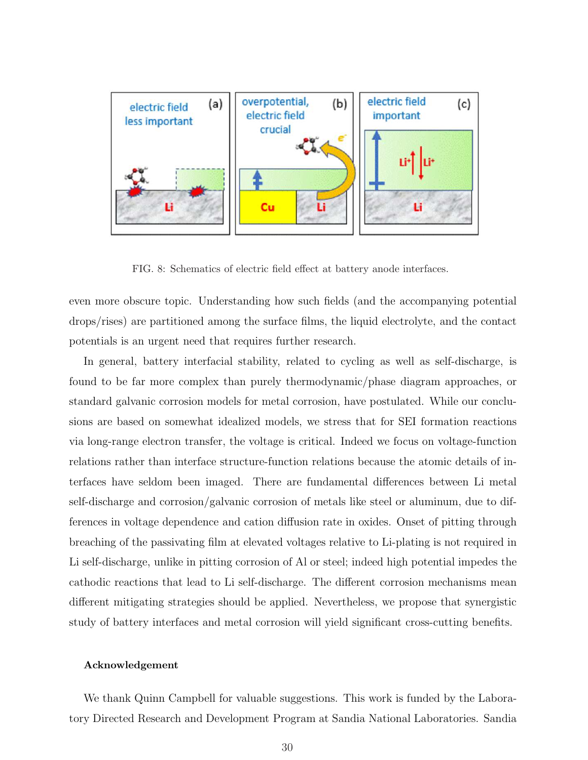

<span id="page-29-0"></span>FIG. 8: Schematics of electric field effect at battery anode interfaces.

even more obscure topic. Understanding how such fields (and the accompanying potential drops/rises) are partitioned among the surface films, the liquid electrolyte, and the contact potentials is an urgent need that requires further research.

In general, battery interfacial stability, related to cycling as well as self-discharge, is found to be far more complex than purely thermodynamic/phase diagram approaches, or standard galvanic corrosion models for metal corrosion, have postulated. While our conclusions are based on somewhat idealized models, we stress that for SEI formation reactions via long-range electron transfer, the voltage is critical. Indeed we focus on voltage-function relations rather than interface structure-function relations because the atomic details of interfaces have seldom been imaged. There are fundamental differences between Li metal self-discharge and corrosion/galvanic corrosion of metals like steel or aluminum, due to differences in voltage dependence and cation diffusion rate in oxides. Onset of pitting through breaching of the passivating film at elevated voltages relative to Li-plating is not required in Li self-discharge, unlike in pitting corrosion of Al or steel; indeed high potential impedes the cathodic reactions that lead to Li self-discharge. The different corrosion mechanisms mean different mitigating strategies should be applied. Nevertheless, we propose that synergistic study of battery interfaces and metal corrosion will yield significant cross-cutting benefits.

#### Acknowledgement

We thank Quinn Campbell for valuable suggestions. This work is funded by the Laboratory Directed Research and Development Program at Sandia National Laboratories. Sandia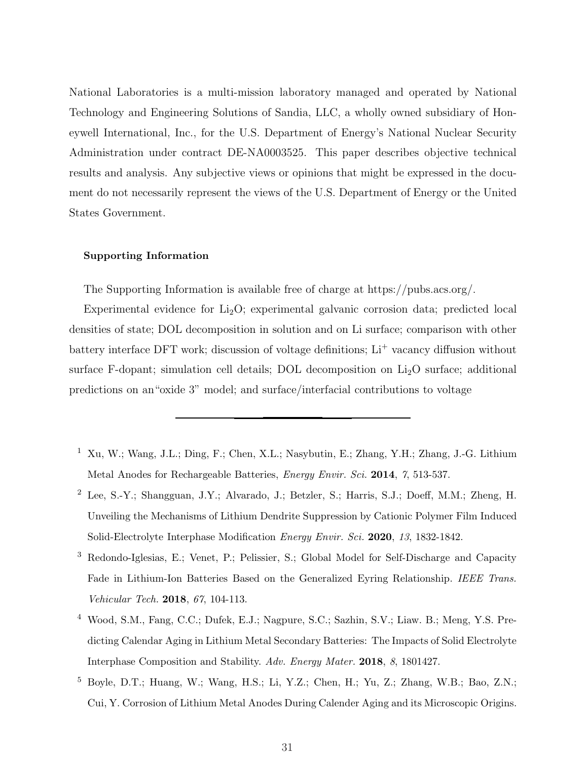National Laboratories is a multi-mission laboratory managed and operated by National Technology and Engineering Solutions of Sandia, LLC, a wholly owned subsidiary of Honeywell International, Inc., for the U.S. Department of Energy's National Nuclear Security Administration under contract DE-NA0003525. This paper describes objective technical results and analysis. Any subjective views or opinions that might be expressed in the document do not necessarily represent the views of the U.S. Department of Energy or the United States Government.

#### Supporting Information

The Supporting Information is available free of charge at https://pubs.acs.org/.

Experimental evidence for  $Li<sub>2</sub>O$ ; experimental galvanic corrosion data; predicted local densities of state; DOL decomposition in solution and on Li surface; comparison with other battery interface DFT work; discussion of voltage definitions; Li<sup>+</sup> vacancy diffusion without surface F-dopant; simulation cell details; DOL decomposition on  $Li<sub>2</sub>O$  surface; additional predictions on an"oxide 3" model; and surface/interfacial contributions to voltage

- <span id="page-30-0"></span><sup>1</sup> Xu, W.; Wang, J.L.; Ding, F.; Chen, X.L.; Nasybutin, E.; Zhang, Y.H.; Zhang, J.-G. Lithium Metal Anodes for Rechargeable Batteries, Energy Envir. Sci. 2014, 7, 513-537.
- <span id="page-30-1"></span><sup>2</sup> Lee, S.-Y.; Shangguan, J.Y.; Alvarado, J.; Betzler, S.; Harris, S.J.; Doeff, M.M.; Zheng, H. Unveiling the Mechanisms of Lithium Dendrite Suppression by Cationic Polymer Film Induced Solid-Electrolyte Interphase Modification Energy Envir. Sci. 2020, 13, 1832-1842.
- <span id="page-30-2"></span><sup>3</sup> Redondo-Iglesias, E.; Venet, P.; Pelissier, S.; Global Model for Self-Discharge and Capacity Fade in Lithium-Ion Batteries Based on the Generalized Eyring Relationship. IEEE Trans. Vehicular Tech. 2018, 67, 104-113.
- <sup>4</sup> Wood, S.M., Fang, C.C.; Dufek, E.J.; Nagpure, S.C.; Sazhin, S.V.; Liaw. B.; Meng, Y.S. Predicting Calendar Aging in Lithium Metal Secondary Batteries: The Impacts of Solid Electrolyte Interphase Composition and Stability. Adv. Energy Mater. 2018, 8, 1801427.
- <span id="page-30-3"></span><sup>5</sup> Boyle, D.T.; Huang, W.; Wang, H.S.; Li, Y.Z.; Chen, H.; Yu, Z.; Zhang, W.B.; Bao, Z.N.; Cui, Y. Corrosion of Lithium Metal Anodes During Calender Aging and its Microscopic Origins.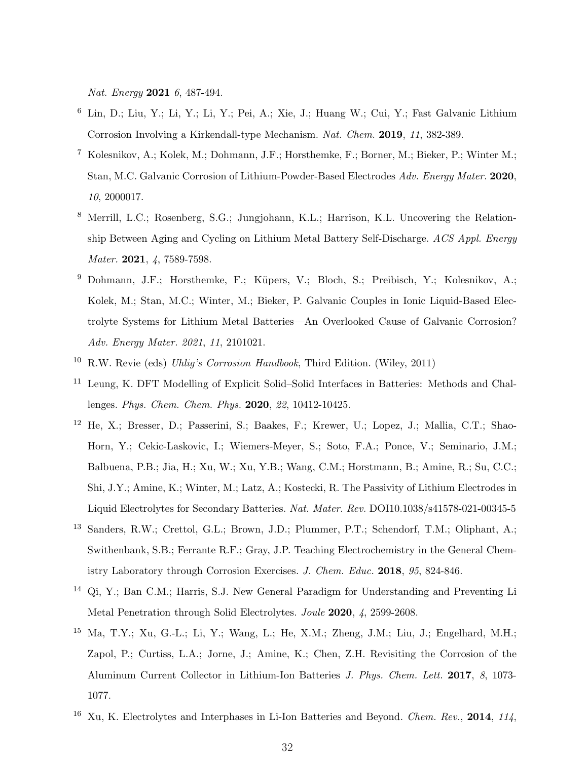Nat. Energy 2021 6, 487-494.

- <span id="page-31-10"></span><sup>6</sup> Lin, D.; Liu, Y.; Li, Y.; Li, Y.; Pei, A.; Xie, J.; Huang W.; Cui, Y.; Fast Galvanic Lithium Corrosion Involving a Kirkendall-type Mechanism. Nat. Chem. 2019, 11, 382-389.
- <span id="page-31-1"></span><sup>7</sup> Kolesnikov, A.; Kolek, M.; Dohmann, J.F.; Horsthemke, F.; Borner, M.; Bieker, P.; Winter M.; Stan, M.C. Galvanic Corrosion of Lithium-Powder-Based Electrodes Adv. Energy Mater. 2020, 10, 2000017.
- <span id="page-31-2"></span><sup>8</sup> Merrill, L.C.; Rosenberg, S.G.; Jungjohann, K.L.; Harrison, K.L. Uncovering the Relationship Between Aging and Cycling on Lithium Metal Battery Self-Discharge. ACS Appl. Energy Mater. 2021, 4, 7589-7598.
- <span id="page-31-0"></span><sup>9</sup> Dohmann, J.F.; Horsthemke, F.; Küpers, V.; Bloch, S.; Preibisch, Y.; Kolesnikov, A.; Kolek, M.; Stan, M.C.; Winter, M.; Bieker, P. Galvanic Couples in Ionic Liquid-Based Electrolyte Systems for Lithium Metal Batteries—An Overlooked Cause of Galvanic Corrosion? Adv. Energy Mater. 2021, 11, 2101021.
- <span id="page-31-3"></span><sup>10</sup> R.W. Revie (eds) *Uhliq's Corrosion Handbook*, Third Edition. (Wiley, 2011)
- <span id="page-31-4"></span>Leung, K. DFT Modelling of Explicit Solid–Solid Interfaces in Batteries: Methods and Challenges. Phys. Chem. Chem. Phys. 2020, 22, 10412-10425.
- <span id="page-31-5"></span><sup>12</sup> He, X.; Bresser, D.; Passerini, S.; Baakes, F.; Krewer, U.; Lopez, J.; Mallia, C.T.; Shao-Horn, Y.; Cekic-Laskovic, I.; Wiemers-Meyer, S.; Soto, F.A.; Ponce, V.; Seminario, J.M.; Balbuena, P.B.; Jia, H.; Xu, W.; Xu, Y.B.; Wang, C.M.; Horstmann, B.; Amine, R.; Su, C.C.; Shi, J.Y.; Amine, K.; Winter, M.; Latz, A.; Kostecki, R. The Passivity of Lithium Electrodes in Liquid Electrolytes for Secondary Batteries. Nat. Mater. Rev. DOI10.1038/s41578-021-00345-5
- <span id="page-31-6"></span><sup>13</sup> Sanders, R.W.; Crettol, G.L.; Brown, J.D.; Plummer, P.T.; Schendorf, T.M.; Oliphant, A.; Swithenbank, S.B.; Ferrante R.F.; Gray, J.P. Teaching Electrochemistry in the General Chemistry Laboratory through Corrosion Exercises. J. Chem. Educ. 2018, 95, 824-846.
- <span id="page-31-8"></span><sup>14</sup> Qi, Y.; Ban C.M.; Harris, S.J. New General Paradigm for Understanding and Preventing Li Metal Penetration through Solid Electrolytes. Joule 2020, 4, 2599-2608.
- <span id="page-31-9"></span><sup>15</sup> Ma, T.Y.; Xu, G.-L.; Li, Y.; Wang, L.; He, X.M.; Zheng, J.M.; Liu, J.; Engelhard, M.H.; Zapol, P.; Curtiss, L.A.; Jorne, J.; Amine, K.; Chen, Z.H. Revisiting the Corrosion of the Aluminum Current Collector in Lithium-Ion Batteries J. Phys. Chem. Lett. 2017, 8, 1073- 1077.
- <span id="page-31-7"></span><sup>16</sup> Xu, K. Electrolytes and Interphases in Li-Ion Batteries and Beyond. *Chem. Rev.*, **2014**, 114,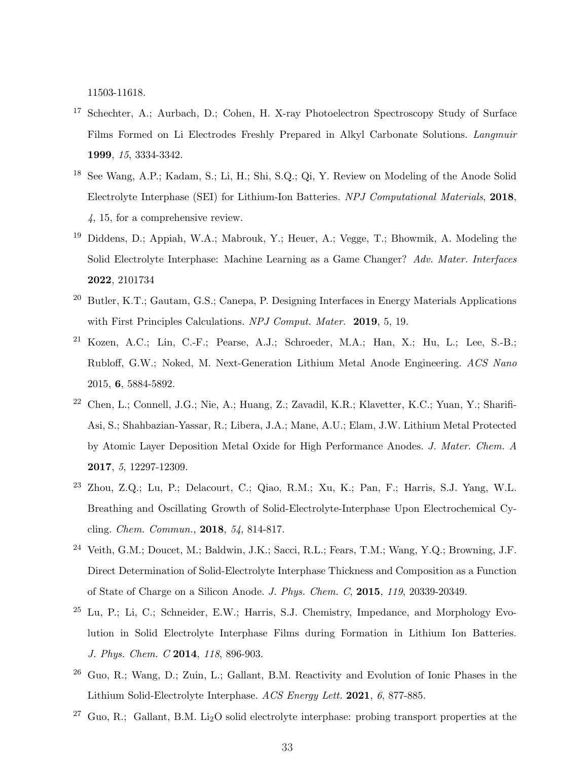11503-11618.

- <sup>17</sup> Schechter, A.; Aurbach, D.; Cohen, H. X-ray Photoelectron Spectroscopy Study of Surface Films Formed on Li Electrodes Freshly Prepared in Alkyl Carbonate Solutions. Langmuir 1999, 15, 3334-3342.
- <span id="page-32-0"></span><sup>18</sup> See Wang, A.P.; Kadam, S.; Li, H.; Shi, S.Q.; Qi, Y. Review on Modeling of the Anode Solid Electrolyte Interphase (SEI) for Lithium-Ion Batteries. NPJ Computational Materials, 2018, 4, 15, for a comprehensive review.
- <sup>19</sup> Diddens, D.; Appiah, W.A.; Mabrouk, Y.; Heuer, A.; Vegge, T.; Bhowmik, A. Modeling the Solid Electrolyte Interphase: Machine Learning as a Game Changer? Adv. Mater. Interfaces 2022, 2101734
- <span id="page-32-1"></span><sup>20</sup> Butler, K.T.; Gautam, G.S.; Canepa, P. Designing Interfaces in Energy Materials Applications with First Principles Calculations. NPJ Comput. Mater. 2019, 5, 19.
- <span id="page-32-2"></span> $21$  Kozen, A.C.; Lin, C.-F.; Pearse, A.J.; Schroeder, M.A.; Han, X.; Hu, L.; Lee, S.-B.; Rubloff, G.W.; Noked, M. Next-Generation Lithium Metal Anode Engineering. ACS Nano 2015, 6, 5884-5892.
- <span id="page-32-3"></span><sup>22</sup> Chen, L.; Connell, J.G.; Nie, A.; Huang, Z.; Zavadil, K.R.; Klavetter, K.C.; Yuan, Y.; Sharifi-Asi, S.; Shahbazian-Yassar, R.; Libera, J.A.; Mane, A.U.; Elam, J.W. Lithium Metal Protected by Atomic Layer Deposition Metal Oxide for High Performance Anodes. J. Mater. Chem. A 2017, 5, 12297-12309.
- <span id="page-32-4"></span><sup>23</sup> Zhou, Z.Q.; Lu, P.; Delacourt, C.; Qiao, R.M.; Xu, K.; Pan, F.; Harris, S.J. Yang, W.L. Breathing and Oscillating Growth of Solid-Electrolyte-Interphase Upon Electrochemical Cycling. Chem. Commun., 2018, 54, 814-817.
- <sup>24</sup> Veith, G.M.; Doucet, M.; Baldwin, J.K.; Sacci, R.L.; Fears, T.M.; Wang, Y.Q.; Browning, J.F. Direct Determination of Solid-Electrolyte Interphase Thickness and Composition as a Function of State of Charge on a Silicon Anode. J. Phys. Chem. C, 2015, 119, 20339-20349.
- <span id="page-32-7"></span>Lu, P.; Li, C.; Schneider, E.W.; Harris, S.J. Chemistry, Impedance, and Morphology Evolution in Solid Electrolyte Interphase Films during Formation in Lithium Ion Batteries. J. Phys. Chem. C 2014, 118, 896-903.
- <span id="page-32-5"></span><sup>26</sup> Guo, R.; Wang, D.; Zuin, L.; Gallant, B.M. Reactivity and Evolution of Ionic Phases in the Lithium Solid-Electrolyte Interphase. ACS Energy Lett. 2021, 6, 877-885.
- <span id="page-32-6"></span> $27$  Guo, R.; Gallant, B.M. Li<sub>2</sub>O solid electrolyte interphase: probing transport properties at the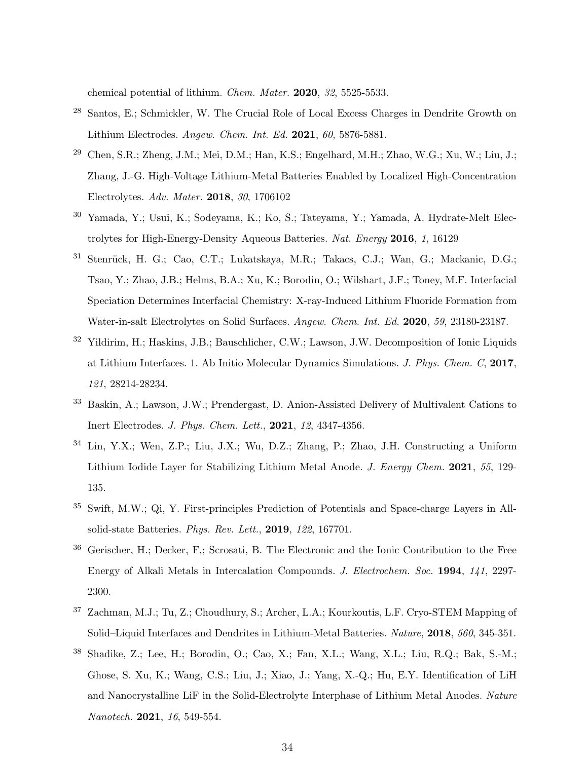chemical potential of lithium. Chem. Mater. 2020, 32, 5525-5533.

- <span id="page-33-0"></span><sup>28</sup> Santos, E.; Schmickler, W. The Crucial Role of Local Excess Charges in Dendrite Growth on Lithium Electrodes. Angew. Chem. Int. Ed. 2021, 60, 5876-5881.
- <span id="page-33-6"></span><sup>29</sup> Chen, S.R.; Zheng, J.M.; Mei, D.M.; Han, K.S.; Engelhard, M.H.; Zhao, W.G.; Xu, W.; Liu, J.; Zhang, J.-G. High-Voltage Lithium-Metal Batteries Enabled by Localized High-Concentration Electrolytes. Adv. Mater. 2018, 30, 1706102
- <sup>30</sup> Yamada, Y.; Usui, K.; Sodeyama, K.; Ko, S.; Tateyama, Y.; Yamada, A. Hydrate-Melt Electrolytes for High-Energy-Density Aqueous Batteries. Nat. Energy 2016, 1, 16129
- <span id="page-33-7"></span><sup>31</sup> Stenrück, H. G.; Cao, C.T.; Lukatskaya, M.R.; Takacs, C.J.; Wan, G.; Mackanic, D.G.; Tsao, Y.; Zhao, J.B.; Helms, B.A.; Xu, K.; Borodin, O.; Wilshart, J.F.; Toney, M.F. Interfacial Speciation Determines Interfacial Chemistry: X-ray-Induced Lithium Fluoride Formation from Water-in-salt Electrolytes on Solid Surfaces. Angew. Chem. Int. Ed. 2020, 59, 23180-23187.
- <sup>32</sup> Yildirim, H.; Haskins, J.B.; Bauschlicher, C.W.; Lawson, J.W. Decomposition of Ionic Liquids at Lithium Interfaces. 1. Ab Initio Molecular Dynamics Simulations. J. Phys. Chem. C, 2017, 121, 28214-28234.
- <span id="page-33-8"></span><sup>33</sup> Baskin, A.; Lawson, J.W.; Prendergast, D. Anion-Assisted Delivery of Multivalent Cations to Inert Electrodes. J. Phys. Chem. Lett., 2021, 12, 4347-4356.
- <span id="page-33-1"></span><sup>34</sup> Lin, Y.X.; Wen, Z.P.; Liu, J.X.; Wu, D.Z.; Zhang, P.; Zhao, J.H. Constructing a Uniform Lithium Iodide Layer for Stabilizing Lithium Metal Anode. J. Energy Chem. 2021, 55, 129-135.
- <span id="page-33-2"></span>Swift, M.W.; Qi, Y. First-principles Prediction of Potentials and Space-charge Layers in Allsolid-state Batteries. Phys. Rev. Lett., 2019, 122, 167701.
- <span id="page-33-3"></span><sup>36</sup> Gerischer, H.; Decker, F,; Scrosati, B. The Electronic and the Ionic Contribution to the Free Energy of Alkali Metals in Intercalation Compounds. J. Electrochem. Soc. 1994, 141, 2297- 2300.
- <span id="page-33-4"></span><sup>37</sup> Zachman, M.J.; Tu, Z.; Choudhury, S.; Archer, L.A.; Kourkoutis, L.F. Cryo-STEM Mapping of Solid–Liquid Interfaces and Dendrites in Lithium-Metal Batteries. Nature, 2018, 560, 345-351.
- <span id="page-33-5"></span><sup>38</sup> Shadike, Z.; Lee, H.; Borodin, O.; Cao, X.; Fan, X.L.; Wang, X.L.; Liu, R.Q.; Bak, S.-M.; Ghose, S. Xu, K.; Wang, C.S.; Liu, J.; Xiao, J.; Yang, X.-Q.; Hu, E.Y. Identification of LiH and Nanocrystalline LiF in the Solid-Electrolyte Interphase of Lithium Metal Anodes. Nature Nanotech. 2021, 16, 549-554.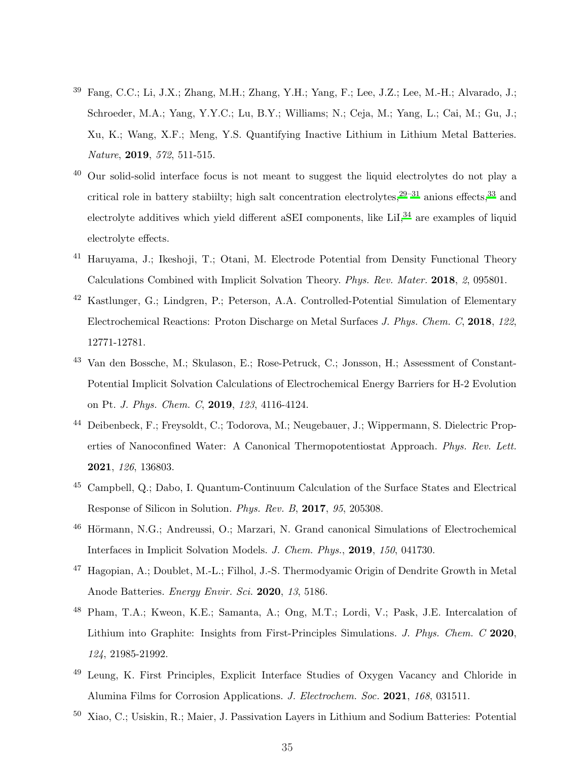- <span id="page-34-5"></span><sup>39</sup> Fang, C.C.; Li, J.X.; Zhang, M.H.; Zhang, Y.H.; Yang, F.; Lee, J.Z.; Lee, M.-H.; Alvarado, J.; Schroeder, M.A.; Yang, Y.Y.C.; Lu, B.Y.; Williams; N.; Ceja, M.; Yang, L.; Cai, M.; Gu, J.; Xu, K.; Wang, X.F.; Meng, Y.S. Quantifying Inactive Lithium in Lithium Metal Batteries. Nature, 2019, 572, 511-515.
- <span id="page-34-4"></span><sup>40</sup> Our solid-solid interface focus is not meant to suggest the liquid electrolytes do not play a critical role in battery stabiilty; high salt concentration electrolytes, $29-31$  $29-31$  anions effects,  $33$  and electrolyte additives which yield different aSEI components, like LiI,<sup>[34](#page-33-1)</sup> are examples of liquid electrolyte effects.
- <span id="page-34-0"></span><sup>41</sup> Haruyama, J.; Ikeshoji, T.; Otani, M. Electrode Potential from Density Functional Theory Calculations Combined with Implicit Solvation Theory. Phys. Rev. Mater. 2018, 2, 095801.
- <sup>42</sup> Kastlunger, G.; Lindgren, P.; Peterson, A.A. Controlled-Potential Simulation of Elementary Electrochemical Reactions: Proton Discharge on Metal Surfaces J. Phys. Chem. C, 2018, 122, 12771-12781.
- <sup>43</sup> Van den Bossche, M.; Skulason, E.; Rose-Petruck, C.; Jonsson, H.; Assessment of Constant-Potential Implicit Solvation Calculations of Electrochemical Energy Barriers for H-2 Evolution on Pt. J. Phys. Chem. C, 2019, 123, 4116-4124.
- <sup>44</sup> Deibenbeck, F.; Freysoldt, C.; Todorova, M.; Neugebauer, J.; Wippermann, S. Dielectric Properties of Nanoconfined Water: A Canonical Thermopotentiostat Approach. Phys. Rev. Lett. 2021, 126, 136803.
- <sup>45</sup> Campbell, Q.; Dabo, I. Quantum-Continuum Calculation of the Surface States and Electrical Response of Silicon in Solution. Phys. Rev. B, 2017, 95, 205308.
- <sup>46</sup> Hörmann, N.G.; Andreussi, O.; Marzari, N. Grand canonical Simulations of Electrochemical Interfaces in Implicit Solvation Models. J. Chem. Phys., 2019, 150, 041730.
- <span id="page-34-6"></span><sup>47</sup> Hagopian, A.; Doublet, M.-L.; Filhol, J.-S. Thermodyamic Origin of Dendrite Growth in Metal Anode Batteries. Energy Envir. Sci. 2020, 13, 5186.
- <span id="page-34-1"></span><sup>48</sup> Pham, T.A.; Kweon, K.E.; Samanta, A.; Ong, M.T.; Lordi, V.; Pask, J.E. Intercalation of Lithium into Graphite: Insights from First-Principles Simulations. J. Phys. Chem. C 2020, 124, 21985-21992.
- <span id="page-34-2"></span><sup>49</sup> Leung, K. First Principles, Explicit Interface Studies of Oxygen Vacancy and Chloride in Alumina Films for Corrosion Applications. J. Electrochem. Soc. 2021, 168, 031511.
- <span id="page-34-3"></span><sup>50</sup> Xiao, C.; Usiskin, R.; Maier, J. Passivation Layers in Lithium and Sodium Batteries: Potential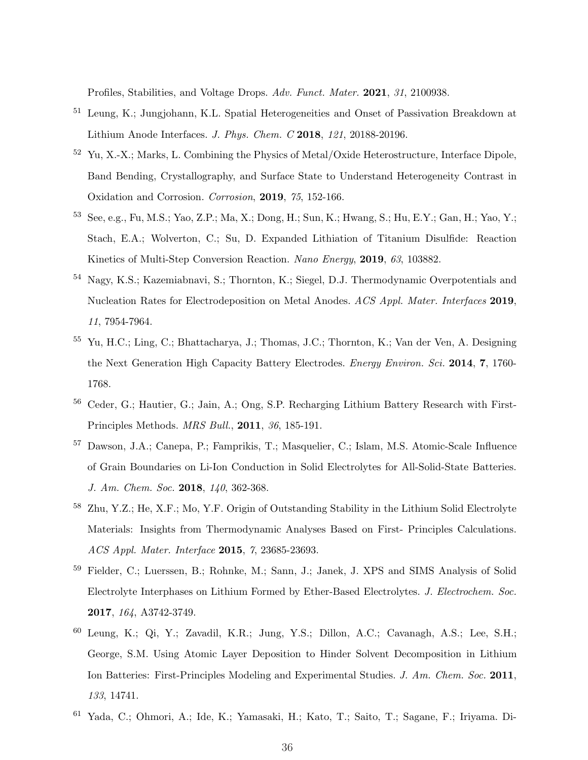Profiles, Stabilities, and Voltage Drops. Adv. Funct. Mater. 2021, 31, 2100938.

- <span id="page-35-0"></span><sup>51</sup> Leung, K.; Jungjohann, K.L. Spatial Heterogeneities and Onset of Passivation Breakdown at Lithium Anode Interfaces. J. Phys. Chem. C 2018, 121, 20188-20196.
- <span id="page-35-1"></span><sup>52</sup> Yu, X.-X.; Marks, L. Combining the Physics of Metal/Oxide Heterostructure, Interface Dipole, Band Bending, Crystallography, and Surface State to Understand Heterogeneity Contrast in Oxidation and Corrosion. Corrosion, 2019, 75, 152-166.
- <span id="page-35-2"></span><sup>53</sup> See, e.g., Fu, M.S.; Yao, Z.P.; Ma, X.; Dong, H.; Sun, K.; Hwang, S.; Hu, E.Y.; Gan, H.; Yao, Y.; Stach, E.A.; Wolverton, C.; Su, D. Expanded Lithiation of Titanium Disulfide: Reaction Kinetics of Multi-Step Conversion Reaction. Nano Energy, 2019, 63, 103882.
- <sup>54</sup> Nagy, K.S.; Kazemiabnavi, S.; Thornton, K.; Siegel, D.J. Thermodynamic Overpotentials and Nucleation Rates for Electrodeposition on Metal Anodes. ACS Appl. Mater. Interfaces 2019, 11, 7954-7964.
- <sup>55</sup> Yu, H.C.; Ling, C.; Bhattacharya, J.; Thomas, J.C.; Thornton, K.; Van der Ven, A. Designing the Next Generation High Capacity Battery Electrodes. Energy Environ. Sci. 2014, 7, 1760- 1768.
- <sup>56</sup> Ceder, G.; Hautier, G.; Jain, A.; Ong, S.P. Recharging Lithium Battery Research with First-Principles Methods. MRS Bull., 2011, 36, 185-191.
- <sup>57</sup> Dawson, J.A.; Canepa, P.; Famprikis, T.; Masquelier, C.; Islam, M.S. Atomic-Scale Influence of Grain Boundaries on Li-Ion Conduction in Solid Electrolytes for All-Solid-State Batteries. J. Am. Chem. Soc. 2018, 140, 362-368.
- <span id="page-35-3"></span><sup>58</sup> Zhu, Y.Z.; He, X.F.; Mo, Y.F. Origin of Outstanding Stability in the Lithium Solid Electrolyte Materials: Insights from Thermodynamic Analyses Based on First- Principles Calculations. ACS Appl. Mater. Interface 2015, 7, 23685-23693.
- <sup>59</sup> Fielder, C.; Luerssen, B.; Rohnke, M.; Sann, J.; Janek, J. XPS and SIMS Analysis of Solid Electrolyte Interphases on Lithium Formed by Ether-Based Electrolytes. J. Electrochem. Soc. 2017, 164, A3742-3749.
- <span id="page-35-4"></span><sup>60</sup> Leung, K.; Qi, Y.; Zavadil, K.R.; Jung, Y.S.; Dillon, A.C.; Cavanagh, A.S.; Lee, S.H.; George, S.M. Using Atomic Layer Deposition to Hinder Solvent Decomposition in Lithium Ion Batteries: First-Principles Modeling and Experimental Studies. J. Am. Chem. Soc. 2011, 133, 14741.
- <span id="page-35-5"></span><sup>61</sup> Yada, C.; Ohmori, A.; Ide, K.; Yamasaki, H.; Kato, T.; Saito, T.; Sagane, F.; Iriyama. Di-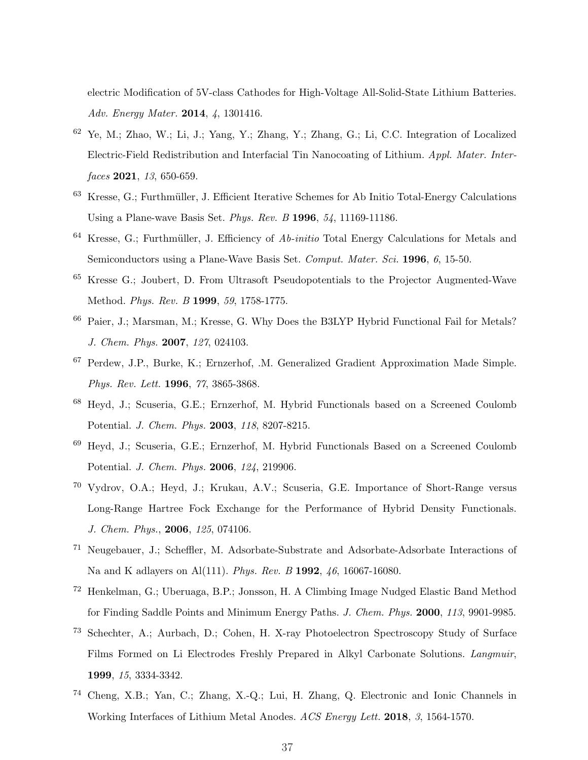electric Modification of 5V-class Cathodes for High-Voltage All-Solid-State Lithium Batteries. Adv. Energy Mater. 2014, 4, 1301416.

- <span id="page-36-0"></span><sup>62</sup> Ye, M.; Zhao, W.; Li, J.; Yang, Y.; Zhang, Y.; Zhang, G.; Li, C.C. Integration of Localized Electric-Field Redistribution and Interfacial Tin Nanocoating of Lithium. Appl. Mater. Interfaces **2021**, 13, 650-659.
- <span id="page-36-1"></span><sup>63</sup> Kresse, G.; Furthmüller, J. Efficient Iterative Schemes for Ab Initio Total-Energy Calculations Using a Plane-wave Basis Set. Phys. Rev. B 1996, 54, 11169-11186.
- $64$  Kresse, G.; Furthmüller, J. Efficiency of  $Ab\text{-}initio$  Total Energy Calculations for Metals and Semiconductors using a Plane-Wave Basis Set. Comput. Mater. Sci. 1996, 6, 15-50.
- <sup>65</sup> Kresse G.; Joubert, D. From Ultrasoft Pseudopotentials to the Projector Augmented-Wave Method. Phys. Rev. B 1999, 59, 1758-1775.
- <span id="page-36-2"></span><sup>66</sup> Paier, J.; Marsman, M.; Kresse, G. Why Does the B3LYP Hybrid Functional Fail for Metals? J. Chem. Phys. 2007, 127, 024103.
- <span id="page-36-3"></span><sup>67</sup> Perdew, J.P., Burke, K.; Ernzerhof, .M. Generalized Gradient Approximation Made Simple. Phys. Rev. Lett. 1996, 77, 3865-3868.
- <span id="page-36-4"></span><sup>68</sup> Heyd, J.; Scuseria, G.E.; Ernzerhof, M. Hybrid Functionals based on a Screened Coulomb Potential. J. Chem. Phys. 2003, 118, 8207-8215.
- <sup>69</sup> Heyd, J.; Scuseria, G.E.; Ernzerhof, M. Hybrid Functionals Based on a Screened Coulomb Potential. J. Chem. Phys. 2006, 124, 219906.
- <span id="page-36-5"></span><sup>70</sup> Vydrov, O.A.; Heyd, J.; Krukau, A.V.; Scuseria, G.E. Importance of Short-Range versus Long-Range Hartree Fock Exchange for the Performance of Hybrid Density Functionals. J. Chem. Phys., 2006, 125, 074106.
- <span id="page-36-6"></span><sup>71</sup> Neugebauer, J.; Scheffler, M. Adsorbate-Substrate and Adsorbate-Adsorbate Interactions of Na and K adlayers on Al(111). Phys. Rev. B 1992, 46, 16067-16080.
- <span id="page-36-7"></span><sup>72</sup> Henkelman, G.; Uberuaga, B.P.; Jonsson, H. A Climbing Image Nudged Elastic Band Method for Finding Saddle Points and Minimum Energy Paths. J. Chem. Phys. 2000, 113, 9901-9985.
- <span id="page-36-8"></span><sup>73</sup> Schechter, A.; Aurbach, D.; Cohen, H. X-ray Photoelectron Spectroscopy Study of Surface Films Formed on Li Electrodes Freshly Prepared in Alkyl Carbonate Solutions. Langmuir, 1999, 15, 3334-3342.
- <sup>74</sup> Cheng, X.B.; Yan, C.; Zhang, X.-Q.; Lui, H. Zhang, Q. Electronic and Ionic Channels in Working Interfaces of Lithium Metal Anodes. ACS Energy Lett. 2018, 3, 1564-1570.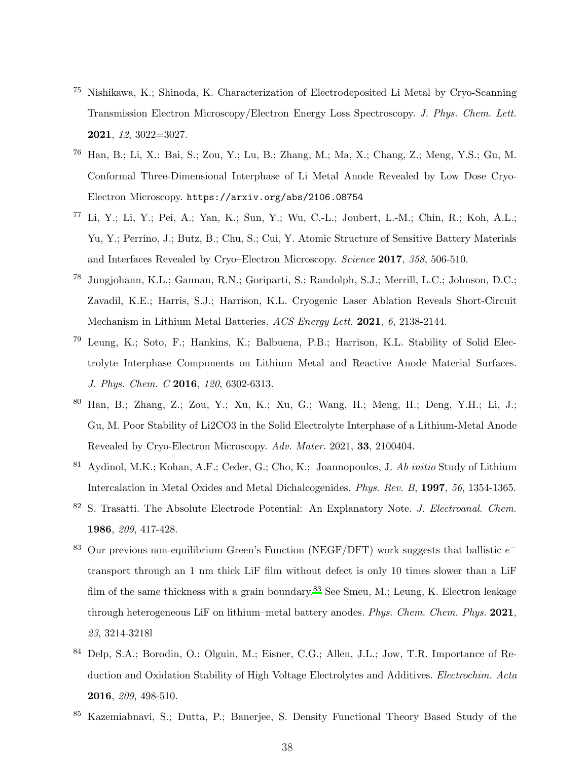- <span id="page-37-0"></span><sup>75</sup> Nishikawa, K.; Shinoda, K. Characterization of Electrodeposited Li Metal by Cryo-Scanning Transmission Electron Microscopy/Electron Energy Loss Spectroscopy. J. Phys. Chem. Lett. 2021, 12, 3022=3027.
- <span id="page-37-1"></span><sup>76</sup> Han, B.; Li, X.: Bai, S.; Zou, Y.; Lu, B.; Zhang, M.; Ma, X.; Chang, Z.; Meng, Y.S.; Gu, M. Conformal Three-Dimensional Interphase of Li Metal Anode Revealed by Low Dose Cryo-Electron Microscopy. https://arxiv.org/abs/2106.08754
- <sup>77</sup> Li, Y.; Li, Y.; Pei, A.; Yan, K.; Sun, Y.; Wu, C.-L.; Joubert, L.-M.; Chin, R.; Koh, A.L.; Yu, Y.; Perrino, J.; Butz, B.; Chu, S.; Cui, Y. Atomic Structure of Sensitive Battery Materials and Interfaces Revealed by Cryo–Electron Microscopy. Science 2017, 358, 506-510.
- <span id="page-37-2"></span><sup>78</sup> Jungjohann, K.L.; Gannan, R.N.; Goriparti, S.; Randolph, S.J.; Merrill, L.C.; Johnson, D.C.; Zavadil, K.E.; Harris, S.J.; Harrison, K.L. Cryogenic Laser Ablation Reveals Short-Circuit Mechanism in Lithium Metal Batteries. ACS Energy Lett. 2021, 6, 2138-2144.
- <span id="page-37-3"></span><sup>79</sup> Leung, K.; Soto, F.; Hankins, K.; Balbuena, P.B.; Harrison, K.L. Stability of Solid Electrolyte Interphase Components on Lithium Metal and Reactive Anode Material Surfaces. J. Phys. Chem. C 2016, 120, 6302-6313.
- <span id="page-37-4"></span><sup>80</sup> Han, B.; Zhang, Z.; Zou, Y.; Xu, K.; Xu, G.; Wang, H.; Meng, H.; Deng, Y.H.; Li, J.; Gu, M. Poor Stability of Li2CO3 in the Solid Electrolyte Interphase of a Lithium-Metal Anode Revealed by Cryo-Electron Microscopy. Adv. Mater. 2021, 33, 2100404.
- <span id="page-37-5"></span><sup>81</sup> Aydinol, M.K.; Kohan, A.F.; Ceder, G.; Cho, K.; Joannopoulos, J. Ab initio Study of Lithium Intercalation in Metal Oxides and Metal Dichalcogenides. Phys. Rev. B, 1997, 56, 1354-1365.
- <span id="page-37-6"></span><sup>82</sup> S. Trasatti. The Absolute Electrode Potential: An Explanatory Note. *J. Electroanal. Chem.* 1986, 209, 417-428.
- <span id="page-37-7"></span><sup>83</sup> Our previous non-equilibrium Green's Function (NEGF/DFT) work suggests that ballistic  $e^$ transport through an 1 nm thick LiF film without defect is only 10 times slower than a LiF film of the same thickness with a grain boundary.<sup>[83](#page-37-7)</sup> See Smeu, M.; Leung, K. Electron leakage through heterogeneous LiF on lithium–metal battery anodes. Phys. Chem. Chem. Phys. 2021, 23, 3214-3218l
- Delp, S.A.; Borodin, O.; Olguin, M.; Eisner, C.G.; Allen, J.L.; Jow, T.R. Importance of Reduction and Oxidation Stability of High Voltage Electrolytes and Additives. Electrochim. Acta 2016, 209, 498-510.
- <sup>85</sup> Kazemiabnavi, S.; Dutta, P.; Banerjee, S. Density Functional Theory Based Study of the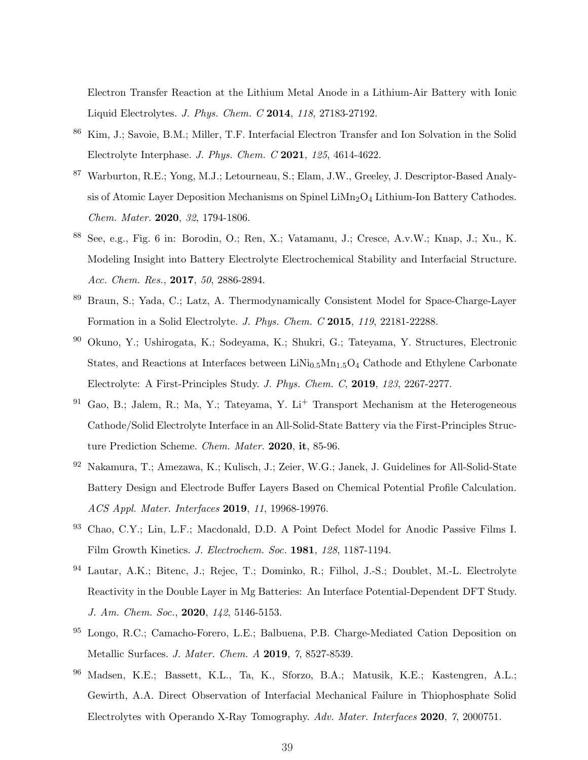Electron Transfer Reaction at the Lithium Metal Anode in a Lithium-Air Battery with Ionic Liquid Electrolytes. J. Phys. Chem. C 2014, 118, 27183-27192.

- <span id="page-38-0"></span><sup>86</sup> Kim, J.; Savoie, B.M.; Miller, T.F. Interfacial Electron Transfer and Ion Solvation in the Solid Electrolyte Interphase. J. Phys. Chem. C 2021, 125, 4614-4622.
- <span id="page-38-1"></span><sup>87</sup> Warburton, R.E.; Yong, M.J.; Letourneau, S.; Elam, J.W., Greeley, J. Descriptor-Based Analysis of Atomic Layer Deposition Mechanisms on Spinel  $\text{LiMn}_2\text{O}_4$  Lithium-Ion Battery Cathodes. Chem. Mater. 2020, 32, 1794-1806.
- <span id="page-38-2"></span><sup>88</sup> See, e.g., Fig. 6 in: Borodin, O.; Ren, X.; Vatamanu, J.; Cresce, A.v.W.; Knap, J.; Xu., K. Modeling Insight into Battery Electrolyte Electrochemical Stability and Interfacial Structure. Acc. Chem. Res., 2017, 50, 2886-2894.
- <sup>89</sup> Braun, S.; Yada, C.; Latz, A. Thermodynamically Consistent Model for Space-Charge-Layer Formation in a Solid Electrolyte. J. Phys. Chem. C 2015, 119, 22181-22288.
- <sup>90</sup> Okuno, Y.; Ushirogata, K.; Sodeyama, K.; Shukri, G.; Tateyama, Y. Structures, Electronic States, and Reactions at Interfaces between  $\rm LiNi_{0.5}Mn_{1.5}O_4$  Cathode and Ethylene Carbonate Electrolyte: A First-Principles Study. J. Phys. Chem. C, 2019, 123, 2267-2277.
- Gao, B.; Jalem, R.; Ma, Y.; Tateyama, Y. Li<sup>+</sup> Transport Mechanism at the Heterogeneous Cathode/Solid Electrolyte Interface in an All-Solid-State Battery via the First-Principles Structure Prediction Scheme. Chem. Mater. 2020, it, 85-96.
- <sup>92</sup> Nakamura, T.; Amezawa, K.; Kulisch, J.; Zeier, W.G.; Janek, J. Guidelines for All-Solid-State Battery Design and Electrode Buffer Layers Based on Chemical Potential Profile Calculation. ACS Appl. Mater. Interfaces 2019, 11, 19968-19976.
- <sup>93</sup> Chao, C.Y.; Lin, L.F.; Macdonald, D.D. A Point Defect Model for Anodic Passive Films I. Film Growth Kinetics. J. Electrochem. Soc. 1981, 128, 1187-1194.
- <sup>94</sup> Lautar, A.K.; Bitenc, J.; Rejec, T.; Dominko, R.; Filhol, J.-S.; Doublet, M.-L. Electrolyte Reactivity in the Double Layer in Mg Batteries: An Interface Potential-Dependent DFT Study. J. Am. Chem. Soc., 2020, 142, 5146-5153.
- <sup>95</sup> Longo, R.C.; Camacho-Forero, L.E.; Balbuena, P.B. Charge-Mediated Cation Deposition on Metallic Surfaces. J. Mater. Chem. A 2019, 7, 8527-8539.
- <sup>96</sup> Madsen, K.E.; Bassett, K.L., Ta, K., Sforzo, B.A.; Matusik, K.E.; Kastengren, A.L.; Gewirth, A.A. Direct Observation of Interfacial Mechanical Failure in Thiophosphate Solid Electrolytes with Operando X-Ray Tomography. Adv. Mater. Interfaces 2020, 7, 2000751.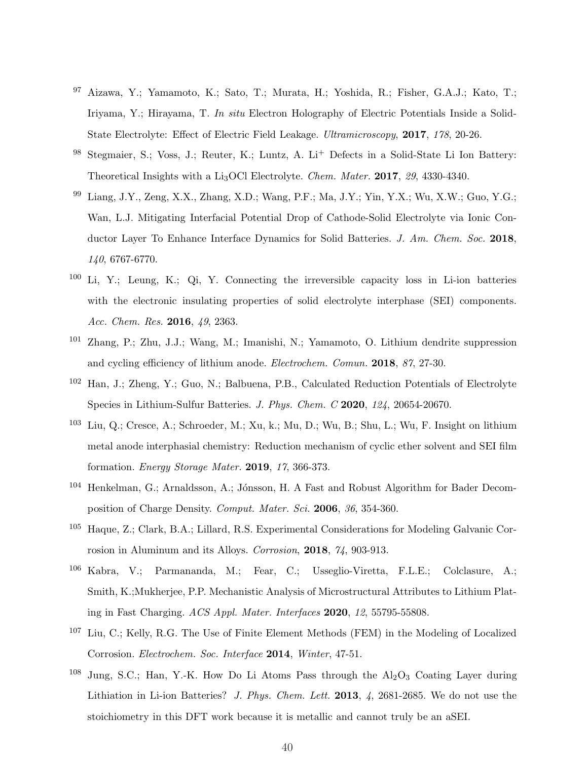- <sup>97</sup> Aizawa, Y.; Yamamoto, K.; Sato, T.; Murata, H.; Yoshida, R.; Fisher, G.A.J.; Kato, T.; Iriyama, Y.; Hirayama, T. In situ Electron Holography of Electric Potentials Inside a Solid-State Electrolyte: Effect of Electric Field Leakage. Ultramicroscopy, 2017, 178, 20-26.
- <sup>98</sup> Stegmaier, S.; Voss, J.; Reuter, K.; Luntz, A. Li<sup>+</sup> Defects in a Solid-State Li Ion Battery: Theoretical Insights with a Li<sub>3</sub>OCl Electrolyte. *Chem. Mater.* **2017**, 29, 4330-4340.
- <sup>99</sup> Liang, J.Y., Zeng, X.X., Zhang, X.D.; Wang, P.F.; Ma, J.Y.; Yin, Y.X.; Wu, X.W.; Guo, Y.G.; Wan, L.J. Mitigating Interfacial Potential Drop of Cathode-Solid Electrolyte via Ionic Conductor Layer To Enhance Interface Dynamics for Solid Batteries. J. Am. Chem. Soc. 2018, 140, 6767-6770.
- <span id="page-39-0"></span><sup>100</sup> Li, Y.; Leung, K.; Qi, Y. Connecting the irreversible capacity loss in Li-ion batteries with the electronic insulating properties of solid electrolyte interphase (SEI) components. Acc. Chem. Res. 2016, 49, 2363.
- <span id="page-39-1"></span><sup>101</sup> Zhang, P.; Zhu, J.J.; Wang, M.; Imanishi, N.; Yamamoto, O. Lithium dendrite suppression and cycling efficiency of lithium anode. Electrochem. Comun. 2018, 87, 27-30.
- <span id="page-39-2"></span><sup>102</sup> Han, J.; Zheng, Y.; Guo, N.; Balbuena, P.B., Calculated Reduction Potentials of Electrolyte Species in Lithium-Sulfur Batteries. J. Phys. Chem. C 2020, 124, 20654-20670.
- <span id="page-39-3"></span><sup>103</sup> Liu, Q.; Cresce, A.; Schroeder, M.; Xu, k.; Mu, D.; Wu, B.; Shu, L.; Wu, F. Insight on lithium metal anode interphasial chemistry: Reduction mechanism of cyclic ether solvent and SEI film formation. Energy Storage Mater. 2019, 17, 366-373.
- <span id="page-39-4"></span><sup>104</sup> Henkelman, G.; Arnaldsson, A.; Jónsson, H. A Fast and Robust Algorithm for Bader Decomposition of Charge Density. Comput. Mater. Sci. 2006, 36, 354-360.
- <span id="page-39-7"></span><sup>105</sup> Haque, Z.; Clark, B.A.; Lillard, R.S. Experimental Considerations for Modeling Galvanic Corrosion in Aluminum and its Alloys. Corrosion, 2018, 74, 903-913.
- <span id="page-39-5"></span><sup>106</sup> Kabra, V.; Parmananda, M.; Fear, C.; Usseglio-Viretta, F.L.E.; Colclasure, A.; Smith, K.;Mukherjee, P.P. Mechanistic Analysis of Microstructural Attributes to Lithium Plating in Fast Charging. ACS Appl. Mater. Interfaces 2020, 12, 55795-55808.
- <span id="page-39-6"></span><sup>107</sup> Liu, C.; Kelly, R.G. The Use of Finite Element Methods (FEM) in the Modeling of Localized Corrosion. Electrochem. Soc. Interface 2014, Winter, 47-51.
- <span id="page-39-8"></span><sup>108</sup> Jung, S.C.; Han, Y.-K. How Do Li Atoms Pass through the  $Al_2O_3$  Coating Layer during Lithiation in Li-ion Batteries? J. Phys. Chem. Lett. 2013, 4, 2681-2685. We do not use the stoichiometry in this DFT work because it is metallic and cannot truly be an aSEI.